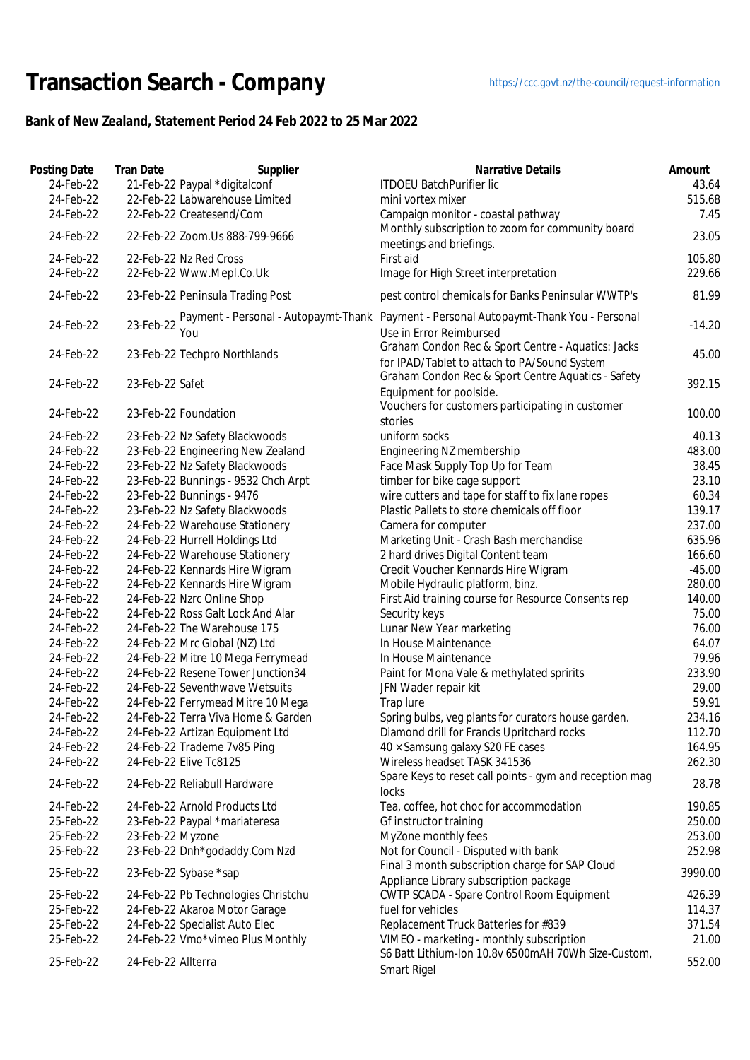## Transaction Search - Company https://ccc.govt.nz/the-council/request-information

## **Bank of New Zealand, Statement Period 24 Feb 2022 to 25 Mar 2022**

| Posting Date<br>24-Feb-22<br>24-Feb-22<br>24-Feb-22 | <b>Tran Date</b><br>Supplier<br>21-Feb-22 Paypal *digitalconf<br>22-Feb-22 Labwarehouse Limited<br>22-Feb-22 Createsend/Com | <b>Narrative Details</b><br><b>ITDOEU BatchPurifier lic</b><br>mini vortex mixer<br>Campaign monitor - coastal pathway | Amount<br>43.64<br>515.68<br>7.45 |
|-----------------------------------------------------|-----------------------------------------------------------------------------------------------------------------------------|------------------------------------------------------------------------------------------------------------------------|-----------------------------------|
| 24-Feb-22                                           | 22-Feb-22 Zoom.Us 888-799-9666                                                                                              | Monthly subscription to zoom for community board                                                                       | 23.05                             |
|                                                     |                                                                                                                             | meetings and briefings.                                                                                                |                                   |
| 24-Feb-22<br>24-Feb-22                              | 22-Feb-22 Nz Red Cross<br>22-Feb-22 Www.Mepl.Co.Uk                                                                          | First aid<br>Image for High Street interpretation                                                                      | 105.80<br>229.66                  |
| 24-Feb-22                                           | 23-Feb-22 Peninsula Trading Post                                                                                            | pest control chemicals for Banks Peninsular WWTP's                                                                     | 81.99                             |
| 24-Feb-22                                           | 23-Feb-22<br>You                                                                                                            | Payment - Personal - Autopaymt-Thank Payment - Personal Autopaymt-Thank You - Personal<br>Use in Error Reimbursed      | $-14.20$                          |
| 24-Feb-22                                           | 23-Feb-22 Techpro Northlands                                                                                                | Graham Condon Rec & Sport Centre - Aquatics: Jacks<br>for IPAD/Tablet to attach to PA/Sound System                     | 45.00                             |
| 24-Feb-22                                           | 23-Feb-22 Safet                                                                                                             | Graham Condon Rec & Sport Centre Aquatics - Safety<br>Equipment for poolside.                                          | 392.15                            |
| 24-Feb-22                                           | 23-Feb-22 Foundation                                                                                                        | Vouchers for customers participating in customer<br>stories                                                            | 100.00                            |
| 24-Feb-22                                           | 23-Feb-22 Nz Safety Blackwoods                                                                                              | uniform socks                                                                                                          | 40.13                             |
| 24-Feb-22                                           | 23-Feb-22 Engineering New Zealand                                                                                           | Engineering NZ membership                                                                                              | 483.00                            |
| 24-Feb-22                                           | 23-Feb-22 Nz Safety Blackwoods                                                                                              | Face Mask Supply Top Up for Team                                                                                       | 38.45                             |
| 24-Feb-22                                           | 23-Feb-22 Bunnings - 9532 Chch Arpt                                                                                         | timber for bike cage support                                                                                           | 23.10                             |
| 24-Feb-22                                           | 23-Feb-22 Bunnings - 9476                                                                                                   | wire cutters and tape for staff to fix lane ropes                                                                      | 60.34                             |
| 24-Feb-22                                           | 23-Feb-22 Nz Safety Blackwoods                                                                                              | Plastic Pallets to store chemicals off floor                                                                           | 139.17                            |
| 24-Feb-22                                           | 24-Feb-22 Warehouse Stationery                                                                                              | Camera for computer                                                                                                    | 237.00                            |
| 24-Feb-22                                           | 24-Feb-22 Hurrell Holdings Ltd                                                                                              | Marketing Unit - Crash Bash merchandise                                                                                | 635.96                            |
| 24-Feb-22                                           | 24-Feb-22 Warehouse Stationery                                                                                              | 2 hard drives Digital Content team                                                                                     | 166.60                            |
| 24-Feb-22                                           | 24-Feb-22 Kennards Hire Wigram                                                                                              | Credit Voucher Kennards Hire Wigram                                                                                    | $-45.00$                          |
| 24-Feb-22                                           | 24-Feb-22 Kennards Hire Wigram                                                                                              | Mobile Hydraulic platform, binz.                                                                                       | 280.00                            |
| 24-Feb-22                                           | 24-Feb-22 Nzrc Online Shop                                                                                                  | First Aid training course for Resource Consents rep                                                                    | 140.00                            |
| 24-Feb-22                                           | 24-Feb-22 Ross Galt Lock And Alar                                                                                           | Security keys                                                                                                          | 75.00                             |
| 24-Feb-22                                           | 24-Feb-22 The Warehouse 175                                                                                                 | Lunar New Year marketing                                                                                               | 76.00                             |
| 24-Feb-22                                           | 24-Feb-22 Mrc Global (NZ) Ltd                                                                                               | In House Maintenance                                                                                                   | 64.07                             |
| 24-Feb-22                                           | 24-Feb-22 Mitre 10 Mega Ferrymead                                                                                           | In House Maintenance                                                                                                   | 79.96                             |
| 24-Feb-22                                           | 24-Feb-22 Resene Tower Junction34                                                                                           | Paint for Mona Vale & methylated spririts                                                                              | 233.90                            |
| 24-Feb-22                                           | 24-Feb-22 Seventhwave Wetsuits                                                                                              | JFN Wader repair kit                                                                                                   | 29.00                             |
| 24-Feb-22                                           | 24-Feb-22 Ferrymead Mitre 10 Mega                                                                                           | Trap lure                                                                                                              | 59.91                             |
| 24-Feb-22                                           | 24-Feb-22 Terra Viva Home & Garden                                                                                          | Spring bulbs, veg plants for curators house garden.                                                                    | 234.16                            |
| 24-Feb-22                                           | 24-Feb-22 Artizan Equipment Ltd                                                                                             | Diamond drill for Francis Upritchard rocks                                                                             | 112.70                            |
| 24-Feb-22                                           | 24-Feb-22 Trademe 7v85 Ping                                                                                                 | 40 × Samsung galaxy S20 FE cases                                                                                       | 164.95                            |
| 24-Feb-22                                           | 24-Feb-22 Elive Tc8125                                                                                                      | Wireless headset TASK 341536                                                                                           | 262.30                            |
| 24-Feb-22                                           | 24-Feb-22 Reliabull Hardware                                                                                                | Spare Keys to reset call points - gym and reception mag<br>locks                                                       | 28.78                             |
| 24-Feb-22                                           | 24-Feb-22 Arnold Products Ltd                                                                                               | Tea, coffee, hot choc for accommodation                                                                                | 190.85                            |
| 25-Feb-22                                           | 23-Feb-22 Paypal *mariateresa                                                                                               | Gf instructor training                                                                                                 | 250.00                            |
| 25-Feb-22                                           | 23-Feb-22 Myzone                                                                                                            | MyZone monthly fees                                                                                                    | 253.00                            |
| 25-Feb-22                                           | 23-Feb-22 Dnh*godaddy.Com Nzd                                                                                               | Not for Council - Disputed with bank                                                                                   | 252.98                            |
| 25-Feb-22                                           | 23-Feb-22 Sybase *sap                                                                                                       | Final 3 month subscription charge for SAP Cloud<br>Appliance Library subscription package                              | 3990.00                           |
| 25-Feb-22                                           | 24-Feb-22 Pb Technologies Christchu                                                                                         | CWTP SCADA - Spare Control Room Equipment                                                                              | 426.39                            |
| 25-Feb-22                                           | 24-Feb-22 Akaroa Motor Garage                                                                                               | fuel for vehicles                                                                                                      | 114.37                            |
| 25-Feb-22                                           | 24-Feb-22 Specialist Auto Elec                                                                                              | Replacement Truck Batteries for #839                                                                                   | 371.54                            |
| 25-Feb-22                                           | 24-Feb-22 Vmo*vimeo Plus Monthly                                                                                            | VIMEO - marketing - monthly subscription                                                                               | 21.00                             |
| 25-Feb-22                                           | 24-Feb-22 Allterra                                                                                                          | S6 Batt Lithium-Ion 10.8v 6500mAH 70Wh Size-Custom,<br>Smart Rigel                                                     | 552.00                            |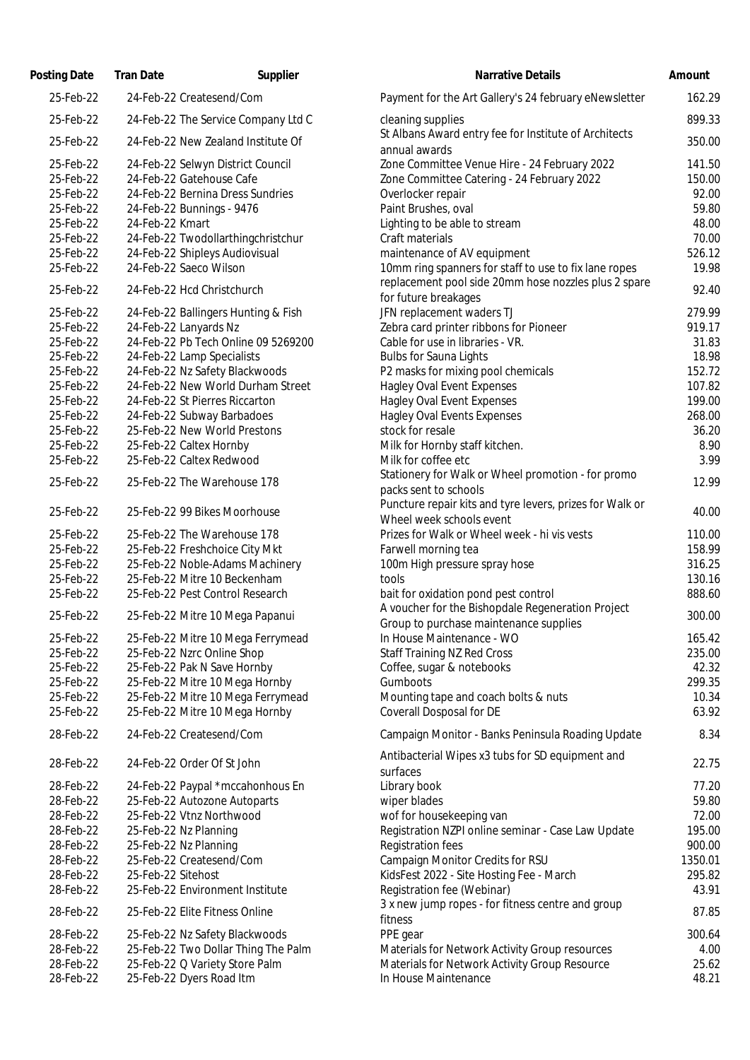| Posting Date | <b>Tran Date</b><br>Supplier        | <b>Narrative Details</b>                                                                              | Amount |
|--------------|-------------------------------------|-------------------------------------------------------------------------------------------------------|--------|
| 25-Feb-22    | 24-Feb-22 Createsend/Com            | Payment for the Art Gallery's 24 february eNewsletter                                                 | 162.   |
| 25-Feb-22    | 24-Feb-22 The Service Company Ltd C | cleaning supplies                                                                                     | 899.   |
| 25-Feb-22    | 24-Feb-22 New Zealand Institute Of  | St Albans Award entry fee for Institute of Architects<br>annual awards                                | 350.   |
| 25-Feb-22    | 24-Feb-22 Selwyn District Council   | Zone Committee Venue Hire - 24 February 2022                                                          | 141.   |
| 25-Feb-22    | 24-Feb-22 Gatehouse Cafe            | Zone Committee Catering - 24 February 2022                                                            | 150.   |
| 25-Feb-22    | 24-Feb-22 Bernina Dress Sundries    | Overlocker repair                                                                                     | 92.    |
| 25-Feb-22    | 24-Feb-22 Bunnings - 9476           | Paint Brushes, oval                                                                                   | 59.    |
| 25-Feb-22    | 24-Feb-22 Kmart                     | Lighting to be able to stream                                                                         | 48.    |
| 25-Feb-22    | 24-Feb-22 Twodollarthingchristchur  | Craft materials                                                                                       | 70.    |
| 25-Feb-22    | 24-Feb-22 Shipleys Audiovisual      | maintenance of AV equipment                                                                           | 526.   |
| 25-Feb-22    | 24-Feb-22 Saeco Wilson              | 10mm ring spanners for staff to use to fix lane ropes                                                 | 19.    |
| 25-Feb-22    | 24-Feb-22 Hcd Christchurch          | replacement pool side 20mm hose nozzles plus 2 spare                                                  | 92.    |
|              |                                     | for future breakages                                                                                  |        |
| 25-Feb-22    | 24-Feb-22 Ballingers Hunting & Fish | JFN replacement waders TJ                                                                             | 279.   |
| 25-Feb-22    | 24-Feb-22 Lanyards Nz               | Zebra card printer ribbons for Pioneer                                                                | 919.   |
| 25-Feb-22    | 24-Feb-22 Pb Tech Online 09 5269200 | Cable for use in libraries - VR.                                                                      | 31.    |
| 25-Feb-22    | 24-Feb-22 Lamp Specialists          | <b>Bulbs for Sauna Lights</b>                                                                         | 18.    |
| 25-Feb-22    | 24-Feb-22 Nz Safety Blackwoods      | P2 masks for mixing pool chemicals                                                                    | 152.   |
| 25-Feb-22    | 24-Feb-22 New World Durham Street   | <b>Hagley Oval Event Expenses</b>                                                                     | 107.   |
| 25-Feb-22    | 24-Feb-22 St Pierres Riccarton      | <b>Hagley Oval Event Expenses</b>                                                                     | 199.   |
| 25-Feb-22    | 24-Feb-22 Subway Barbadoes          | <b>Hagley Oval Events Expenses</b>                                                                    | 268.   |
| 25-Feb-22    | 25-Feb-22 New World Prestons        | stock for resale                                                                                      | 36.    |
| 25-Feb-22    | 25-Feb-22 Caltex Hornby             | Milk for Hornby staff kitchen.                                                                        | 8.     |
| 25-Feb-22    | 25-Feb-22 Caltex Redwood            | Milk for coffee etc                                                                                   | 3.     |
| 25-Feb-22    | 25-Feb-22 The Warehouse 178         | Stationery for Walk or Wheel promotion - for promo<br>packs sent to schools                           | 12.    |
| 25-Feb-22    | 25-Feb-22 99 Bikes Moorhouse        | Puncture repair kits and tyre levers, prizes for Walk or<br>Wheel week schools event                  | 40.    |
| 25-Feb-22    | 25-Feb-22 The Warehouse 178         | Prizes for Walk or Wheel week - hi vis vests                                                          | 110.   |
| 25-Feb-22    | 25-Feb-22 Freshchoice City Mkt      | Farwell morning tea                                                                                   | 158.   |
| 25-Feb-22    | 25-Feb-22 Noble-Adams Machinery     | 100m High pressure spray hose                                                                         | 316.   |
| 25-Feb-22    | 25-Feb-22 Mitre 10 Beckenham        | tools                                                                                                 | 130.   |
| 25-Feb-22    | 25-Feb-22 Pest Control Research     | bait for oxidation pond pest control                                                                  | 888.   |
|              |                                     | A voucher for the Bishopdale Regeneration Project                                                     |        |
| 25-Feb-22    | 25-Feb-22 Mitre 10 Mega Papanui     | Group to purchase maintenance supplies                                                                | 300.   |
| 25-Feb-22    | 25-Feb-22 Mitre 10 Mega Ferrymead   | In House Maintenance - WO                                                                             | 165.   |
| 25-Feb-22    | 25-Feb-22 Nzrc Online Shop          | <b>Staff Training NZ Red Cross</b>                                                                    | 235.   |
| 25-Feb-22    | 25-Feb-22 Pak N Save Hornby         | Coffee, sugar & notebooks                                                                             | 42.    |
| 25-Feb-22    | 25-Feb-22 Mitre 10 Mega Hornby      | Gumboots                                                                                              | 299.   |
| 25-Feb-22    | 25-Feb-22 Mitre 10 Mega Ferrymead   | Mounting tape and coach bolts & nuts                                                                  | 10.    |
| 25-Feb-22    | 25-Feb-22 Mitre 10 Mega Hornby      | Coverall Dosposal for DE                                                                              | 63.    |
|              |                                     |                                                                                                       |        |
| 28-Feb-22    | 24-Feb-22 Createsend/Com            | Campaign Monitor - Banks Peninsula Roading Update<br>Antibacterial Wipes x3 tubs for SD equipment and | 8.     |
| 28-Feb-22    | 24-Feb-22 Order Of St John          | surfaces                                                                                              | 22.    |
| 28-Feb-22    | 24-Feb-22 Paypal *mccahonhous En    | Library book                                                                                          | 77.    |
| 28-Feb-22    | 25-Feb-22 Autozone Autoparts        | wiper blades                                                                                          | 59.    |
| 28-Feb-22    | 25-Feb-22 Vtnz Northwood            | wof for housekeeping van                                                                              | 72.    |
| 28-Feb-22    | 25-Feb-22 Nz Planning               | Registration NZPI online seminar - Case Law Update                                                    | 195.   |
| 28-Feb-22    | 25-Feb-22 Nz Planning               | Registration fees                                                                                     | 900.   |
| 28-Feb-22    | 25-Feb-22 Createsend/Com            | Campaign Monitor Credits for RSU                                                                      | 1350.  |
| 28-Feb-22    | 25-Feb-22 Sitehost                  | KidsFest 2022 - Site Hosting Fee - March                                                              | 295.   |
| 28-Feb-22    | 25-Feb-22 Environment Institute     | Registration fee (Webinar)                                                                            | 43.    |
| 28-Feb-22    | 25-Feb-22 Elite Fitness Online      | 3 x new jump ropes - for fitness centre and group<br>fitness                                          | 87.    |
| 28-Feb-22    | 25-Feb-22 Nz Safety Blackwoods      | PPE gear                                                                                              | 300.   |
| 28-Feb-22    | 25-Feb-22 Two Dollar Thing The Palm | Materials for Network Activity Group resources                                                        | 4.     |
| 28-Feb-22    | 25-Feb-22 Q Variety Store Palm      | Materials for Network Activity Group Resource                                                         | 25.    |
| 28-Feb-22    | 25-Feb-22 Dyers Road Itm            | In House Maintenance                                                                                  | 48.    |
|              |                                     |                                                                                                       |        |

| ung Date  | fran Date          | supplier                            | <b>Natrative Details</b>                                                                                      | <b>AMOUN</b> |
|-----------|--------------------|-------------------------------------|---------------------------------------------------------------------------------------------------------------|--------------|
| 25-Feb-22 |                    | 24-Feb-22 Createsend/Com            | Payment for the Art Gallery's 24 february eNewsletter                                                         | 162.29       |
| 25-Feb-22 |                    | 24-Feb-22 The Service Company Ltd C | cleaning supplies                                                                                             | 899.33       |
| 25-Feb-22 |                    | 24-Feb-22 New Zealand Institute Of  | St Albans Award entry fee for Institute of Architects<br>annual awards                                        | 350.00       |
| 25-Feb-22 |                    | 24-Feb-22 Selwyn District Council   | Zone Committee Venue Hire - 24 February 2022                                                                  | 141.50       |
| 25-Feb-22 |                    | 24-Feb-22 Gatehouse Cafe            | Zone Committee Catering - 24 February 2022                                                                    | 150.00       |
| 25-Feb-22 |                    | 24-Feb-22 Bernina Dress Sundries    | Overlocker repair                                                                                             | 92.00        |
| 25-Feb-22 |                    | 24-Feb-22 Bunnings - 9476           | Paint Brushes, oval                                                                                           | 59.80        |
| 25-Feb-22 | 24-Feb-22 Kmart    |                                     | Lighting to be able to stream                                                                                 | 48.00        |
| 25-Feb-22 |                    | 24-Feb-22 Twodollarthingchristchur  | Craft materials                                                                                               | 70.00        |
| 25-Feb-22 |                    | 24-Feb-22 Shipleys Audiovisual      | maintenance of AV equipment                                                                                   | 526.12       |
| 25-Feb-22 |                    | 24-Feb-22 Saeco Wilson              | 10mm ring spanners for staff to use to fix lane ropes<br>replacement pool side 20mm hose nozzles plus 2 spare | 19.98        |
| 25-Feb-22 |                    | 24-Feb-22 Hcd Christchurch          | for future breakages                                                                                          | 92.40        |
| 25-Feb-22 |                    | 24-Feb-22 Ballingers Hunting & Fish | JFN replacement waders TJ                                                                                     | 279.99       |
| 25-Feb-22 |                    | 24-Feb-22 Lanyards Nz               | Zebra card printer ribbons for Pioneer                                                                        | 919.17       |
| 25-Feb-22 |                    | 24-Feb-22 Pb Tech Online 09 5269200 | Cable for use in libraries - VR.                                                                              | 31.83        |
| 25-Feb-22 |                    | 24-Feb-22 Lamp Specialists          | <b>Bulbs for Sauna Lights</b>                                                                                 | 18.98        |
| 25-Feb-22 |                    | 24-Feb-22 Nz Safety Blackwoods      | P2 masks for mixing pool chemicals                                                                            | 152.72       |
| 25-Feb-22 |                    | 24-Feb-22 New World Durham Street   | <b>Hagley Oval Event Expenses</b>                                                                             | 107.82       |
| 25-Feb-22 |                    | 24-Feb-22 St Pierres Riccarton      | <b>Hagley Oval Event Expenses</b>                                                                             | 199.00       |
| 25-Feb-22 |                    | 24-Feb-22 Subway Barbadoes          | <b>Hagley Oval Events Expenses</b>                                                                            | 268.00       |
| 25-Feb-22 |                    | 25-Feb-22 New World Prestons        | stock for resale                                                                                              | 36.20        |
| 25-Feb-22 |                    | 25-Feb-22 Caltex Hornby             | Milk for Hornby staff kitchen.                                                                                | 8.90         |
| 25-Feb-22 |                    | 25-Feb-22 Caltex Redwood            | Milk for coffee etc                                                                                           | 3.99         |
| 25-Feb-22 |                    | 25-Feb-22 The Warehouse 178         | Stationery for Walk or Wheel promotion - for promo<br>packs sent to schools                                   | 12.99        |
| 25-Feb-22 |                    | 25-Feb-22 99 Bikes Moorhouse        | Puncture repair kits and tyre levers, prizes for Walk or<br>Wheel week schools event                          | 40.00        |
| 25-Feb-22 |                    | 25-Feb-22 The Warehouse 178         | Prizes for Walk or Wheel week - hi vis vests                                                                  | 110.00       |
| 25-Feb-22 |                    | 25-Feb-22 Freshchoice City Mkt      | Farwell morning tea                                                                                           | 158.99       |
| 25-Feb-22 |                    | 25-Feb-22 Noble-Adams Machinery     | 100m High pressure spray hose                                                                                 | 316.25       |
| 25-Feb-22 |                    | 25-Feb-22 Mitre 10 Beckenham        | tools                                                                                                         | 130.16       |
| 25-Feb-22 |                    | 25-Feb-22 Pest Control Research     | bait for oxidation pond pest control                                                                          | 888.60       |
| 25-Feb-22 |                    | 25-Feb-22 Mitre 10 Mega Papanui     | A voucher for the Bishopdale Regeneration Project<br>Group to purchase maintenance supplies                   | 300.00       |
| 25-Feb-22 |                    | 25-Feb-22 Mitre 10 Mega Ferrymead   | In House Maintenance - WO                                                                                     | 165.42       |
| 25-Feb-22 |                    | 25-Feb-22 Nzrc Online Shop          | <b>Staff Training NZ Red Cross</b>                                                                            | 235.00       |
| 25-Feb-22 |                    | 25-Feb-22 Pak N Save Hornby         | Coffee, sugar & notebooks                                                                                     | 42.32        |
| 25-Feb-22 |                    | 25-Feb-22 Mitre 10 Mega Hornby      | Gumboots                                                                                                      | 299.35       |
| 25-Feb-22 |                    | 25-Feb-22 Mitre 10 Mega Ferrymead   | Mounting tape and coach bolts & nuts                                                                          | 10.34        |
| 25-Feb-22 |                    | 25-Feb-22 Mitre 10 Mega Hornby      | <b>Coverall Dosposal for DE</b>                                                                               | 63.92        |
| 28-Feb-22 |                    | 24-Feb-22 Createsend/Com            | Campaign Monitor - Banks Peninsula Roading Update                                                             | 8.34         |
| 28-Feb-22 |                    | 24-Feb-22 Order Of St John          | Antibacterial Wipes x3 tubs for SD equipment and                                                              | 22.75        |
| 28-Feb-22 |                    | 24-Feb-22 Paypal *mccahonhous En    | surfaces<br>Library book                                                                                      | 77.20        |
| 28-Feb-22 |                    | 25-Feb-22 Autozone Autoparts        | wiper blades                                                                                                  | 59.80        |
| 28-Feb-22 |                    | 25-Feb-22 Vtnz Northwood            | wof for housekeeping van                                                                                      | 72.00        |
| 28-Feb-22 |                    | 25-Feb-22 Nz Planning               | Registration NZPI online seminar - Case Law Update                                                            | 195.00       |
| 28-Feb-22 |                    | 25-Feb-22 Nz Planning               | <b>Registration fees</b>                                                                                      | 900.00       |
| 28-Feb-22 |                    | 25-Feb-22 Createsend/Com            | Campaign Monitor Credits for RSU                                                                              | 1350.01      |
| 28-Feb-22 | 25-Feb-22 Sitehost |                                     | KidsFest 2022 - Site Hosting Fee - March                                                                      | 295.82       |
| 28-Feb-22 |                    | 25-Feb-22 Environment Institute     | Registration fee (Webinar)                                                                                    | 43.91        |
| 28-Feb-22 |                    | 25-Feb-22 Elite Fitness Online      | 3 x new jump ropes - for fitness centre and group<br>fitness                                                  | 87.85        |
| 28-Feb-22 |                    | 25-Feb-22 Nz Safety Blackwoods      | PPE gear                                                                                                      | 300.64       |
| 28-Feb-22 |                    | 25-Feb-22 Two Dollar Thing The Palm | Materials for Network Activity Group resources                                                                | 4.00         |
| 28-Feb-22 |                    | 25-Feb-22 Q Variety Store Palm      | Materials for Network Activity Group Resource                                                                 | 25.62        |
| 28-Feb-22 |                    | 25-Feb-22 Dyers Road Itm            | In House Maintenance                                                                                          | 48.21        |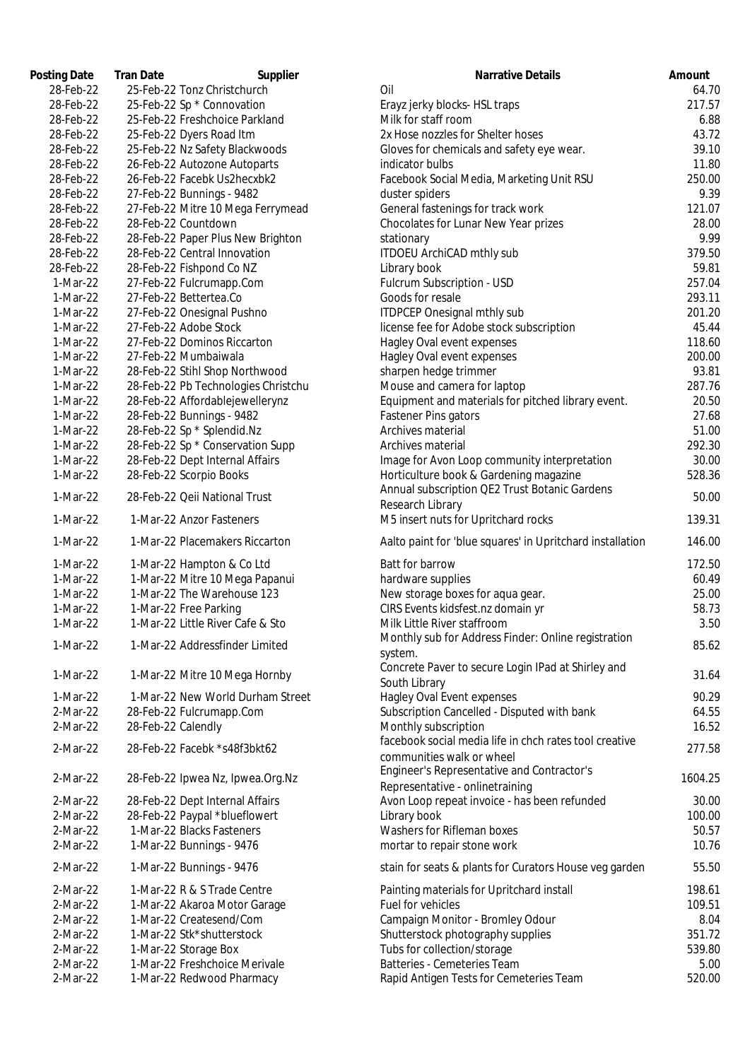| Posting Date | <b>Tran Date</b>    | Supplier                            | <b>Narrative Details</b>                                                      | Amount |
|--------------|---------------------|-------------------------------------|-------------------------------------------------------------------------------|--------|
| 28-Feb-22    |                     | 25-Feb-22 Tonz Christchurch         | Oil                                                                           | 64.    |
| 28-Feb-22    |                     | 25-Feb-22 Sp * Connovation          | Erayz jerky blocks- HSL traps                                                 | 217.   |
| 28-Feb-22    |                     | 25-Feb-22 Freshchoice Parkland      | Milk for staff room                                                           | 6.     |
| 28-Feb-22    |                     | 25-Feb-22 Dyers Road Itm            | 2x Hose nozzles for Shelter hoses                                             | 43.    |
| 28-Feb-22    |                     | 25-Feb-22 Nz Safety Blackwoods      | Gloves for chemicals and safety eye wear.                                     | 39.    |
| 28-Feb-22    |                     | 26-Feb-22 Autozone Autoparts        | indicator bulbs                                                               | 11.    |
| 28-Feb-22    |                     | 26-Feb-22 Facebk Us2hecxbk2         | Facebook Social Media, Marketing Unit RSU                                     | 250.   |
| 28-Feb-22    |                     | 27-Feb-22 Bunnings - 9482           | duster spiders                                                                | 9.     |
| 28-Feb-22    |                     | 27-Feb-22 Mitre 10 Mega Ferrymead   | General fastenings for track work                                             | 121.   |
| 28-Feb-22    | 28-Feb-22 Countdown |                                     | Chocolates for Lunar New Year prizes                                          | 28.    |
| 28-Feb-22    |                     | 28-Feb-22 Paper Plus New Brighton   | stationary                                                                    | 9.     |
| 28-Feb-22    |                     | 28-Feb-22 Central Innovation        | ITDOEU ArchiCAD mthly sub                                                     | 379.   |
| 28-Feb-22    |                     | 28-Feb-22 Fishpond Co NZ            | Library book                                                                  | 59.    |
| 1-Mar-22     |                     | 27-Feb-22 Fulcrumapp.Com            | Fulcrum Subscription - USD                                                    | 257.   |
| 1-Mar-22     |                     | 27-Feb-22 Bettertea.Co              | Goods for resale                                                              | 293.   |
|              |                     |                                     |                                                                               |        |
| 1-Mar-22     |                     | 27-Feb-22 Onesignal Pushno          | <b>ITDPCEP Onesignal mthly sub</b>                                            | 201.   |
| 1-Mar-22     |                     | 27-Feb-22 Adobe Stock               | license fee for Adobe stock subscription                                      | 45.    |
| 1-Mar-22     |                     | 27-Feb-22 Dominos Riccarton         | Hagley Oval event expenses                                                    | 118.   |
| 1-Mar-22     |                     | 27-Feb-22 Mumbaiwala                | Hagley Oval event expenses                                                    | 200.   |
| 1-Mar-22     |                     | 28-Feb-22 Stihl Shop Northwood      | sharpen hedge trimmer                                                         | 93.    |
| 1-Mar-22     |                     | 28-Feb-22 Pb Technologies Christchu | Mouse and camera for laptop                                                   | 287.   |
| 1-Mar-22     |                     | 28-Feb-22 Affordablejewellerynz     | Equipment and materials for pitched library event.                            | 20.    |
| 1-Mar-22     |                     | 28-Feb-22 Bunnings - 9482           | <b>Fastener Pins gators</b>                                                   | 27.    |
| 1-Mar-22     |                     | 28-Feb-22 Sp * Splendid.Nz          | Archives material                                                             | 51.    |
| 1-Mar-22     |                     | 28-Feb-22 Sp * Conservation Supp    | Archives material                                                             | 292.   |
| 1-Mar-22     |                     | 28-Feb-22 Dept Internal Affairs     | Image for Avon Loop community interpretation                                  | 30.1   |
| 1-Mar-22     |                     | 28-Feb-22 Scorpio Books             | Horticulture book & Gardening magazine                                        | 528.   |
| 1-Mar-22     |                     | 28-Feb-22 Qeii National Trust       | Annual subscription QE2 Trust Botanic Gardens                                 | 50.    |
| 1-Mar-22     |                     | 1-Mar-22 Anzor Fasteners            | Research Library<br>M5 insert nuts for Upritchard rocks                       | 139.   |
| 1-Mar-22     |                     | 1-Mar-22 Placemakers Riccarton      | Aalto paint for 'blue squares' in Upritchard installation                     | 146.   |
|              |                     |                                     |                                                                               |        |
| 1-Mar-22     |                     | 1-Mar-22 Hampton & Co Ltd           | Batt for barrow                                                               | 172.   |
| 1-Mar-22     |                     | 1-Mar-22 Mitre 10 Mega Papanui      | hardware supplies                                                             | 60.    |
| 1-Mar-22     |                     | 1-Mar-22 The Warehouse 123          | New storage boxes for aqua gear.                                              | 25.1   |
| 1-Mar-22     |                     | 1-Mar-22 Free Parking               | CIRS Events kidsfest.nz domain yr                                             | 58.    |
| 1-Mar-22     |                     | 1-Mar-22 Little River Cafe & Sto    | Milk Little River staffroom                                                   | 3.     |
| 1-Mar-22     |                     | 1-Mar-22 Addressfinder Limited      | Monthly sub for Address Finder: Online registration<br>system.                | 85.    |
|              |                     |                                     | Concrete Paver to secure Login IPad at Shirley and                            |        |
| 1-Mar-22     |                     | 1-Mar-22 Mitre 10 Mega Hornby       | South Library                                                                 | 31.    |
| 1-Mar-22     |                     | 1-Mar-22 New World Durham Street    | Hagley Oval Event expenses                                                    | 90.    |
| 2-Mar-22     |                     | 28-Feb-22 Fulcrumapp.Com            | Subscription Cancelled - Disputed with bank                                   | 64.    |
| 2-Mar-22     | 28-Feb-22 Calendly  |                                     | Monthly subscription                                                          | 16.    |
|              |                     |                                     | facebook social media life in chch rates tool creative                        |        |
| 2-Mar-22     |                     | 28-Feb-22 Facebk *s48f3bkt62        | communities walk or wheel                                                     | 277.   |
| 2-Mar-22     |                     | 28-Feb-22 Ipwea Nz, Ipwea.Org.Nz    | Engineer's Representative and Contractor's<br>Representative - onlinetraining | 1604.  |
| 2-Mar-22     |                     | 28-Feb-22 Dept Internal Affairs     | Avon Loop repeat invoice - has been refunded                                  | 30.1   |
| 2-Mar-22     |                     | 28-Feb-22 Paypal *blueflowert       | Library book                                                                  | 100.   |
| 2-Mar-22     |                     | 1-Mar-22 Blacks Fasteners           | Washers for Rifleman boxes                                                    | 50.    |
| 2-Mar-22     |                     | 1-Mar-22 Bunnings - 9476            | mortar to repair stone work                                                   | 10.    |
|              |                     |                                     |                                                                               |        |
| 2-Mar-22     |                     | 1-Mar-22 Bunnings - 9476            | stain for seats & plants for Curators House veg garden                        | 55.    |
| 2-Mar-22     |                     | 1-Mar-22 R & S Trade Centre         | Painting materials for Upritchard install                                     | 198.   |
| 2-Mar-22     |                     | 1-Mar-22 Akaroa Motor Garage        | Fuel for vehicles                                                             | 109.   |
| 2-Mar-22     |                     | 1-Mar-22 Createsend/Com             | Campaign Monitor - Bromley Odour                                              | 8.     |
| 2-Mar-22     |                     | 1-Mar-22 Stk*shutterstock           | Shutterstock photography supplies                                             | 351.   |
| 2-Mar-22     |                     | 1-Mar-22 Storage Box                | Tubs for collection/storage                                                   | 539.   |
| 2-Mar-22     |                     | 1-Mar-22 Freshchoice Merivale       | Batteries - Cemeteries Team                                                   | 5.1    |
| 2-Mar-22     |                     | 1-Mar-22 Redwood Pharmacy           | Rapid Antigen Tests for Cemeteries Team                                       | 520.   |

| ting Date | Tran Date<br>Supplier               | Narrative Details                                                       | Amount  |
|-----------|-------------------------------------|-------------------------------------------------------------------------|---------|
| 28-Feb-22 | 25-Feb-22 Tonz Christchurch         | Oil                                                                     | 64.70   |
| 28-Feb-22 | 25-Feb-22 Sp * Connovation          | Erayz jerky blocks- HSL traps                                           | 217.57  |
| 28-Feb-22 | 25-Feb-22 Freshchoice Parkland      | Milk for staff room                                                     | 6.88    |
| 28-Feb-22 | 25-Feb-22 Dyers Road Itm            | 2x Hose nozzles for Shelter hoses                                       | 43.72   |
| 28-Feb-22 | 25-Feb-22 Nz Safety Blackwoods      | Gloves for chemicals and safety eye wear.                               | 39.10   |
| 28-Feb-22 | 26-Feb-22 Autozone Autoparts        | indicator bulbs                                                         | 11.80   |
| 28-Feb-22 | 26-Feb-22 Facebk Us2hecxbk2         | Facebook Social Media, Marketing Unit RSU                               | 250.00  |
| 28-Feb-22 | 27-Feb-22 Bunnings - 9482           | duster spiders                                                          | 9.39    |
| 28-Feb-22 | 27-Feb-22 Mitre 10 Mega Ferrymead   | General fastenings for track work                                       | 121.07  |
| 28-Feb-22 | 28-Feb-22 Countdown                 | Chocolates for Lunar New Year prizes                                    | 28.00   |
| 28-Feb-22 | 28-Feb-22 Paper Plus New Brighton   | stationary                                                              | 9.99    |
| 28-Feb-22 | 28-Feb-22 Central Innovation        | ITDOEU ArchiCAD mthly sub                                               | 379.50  |
| 28-Feb-22 | 28-Feb-22 Fishpond Co NZ            | Library book                                                            | 59.81   |
| 1-Mar-22  | 27-Feb-22 Fulcrumapp.Com            | Fulcrum Subscription - USD                                              | 257.04  |
| 1-Mar-22  | 27-Feb-22 Bettertea.Co              | Goods for resale                                                        | 293.11  |
| 1-Mar-22  | 27-Feb-22 Onesignal Pushno          | <b>ITDPCEP Onesignal mthly sub</b>                                      | 201.20  |
| 1-Mar-22  | 27-Feb-22 Adobe Stock               | license fee for Adobe stock subscription                                | 45.44   |
| 1-Mar-22  | 27-Feb-22 Dominos Riccarton         | Hagley Oval event expenses                                              | 118.60  |
| 1-Mar-22  | 27-Feb-22 Mumbaiwala                | Hagley Oval event expenses                                              | 200.00  |
| 1-Mar-22  | 28-Feb-22 Stihl Shop Northwood      | sharpen hedge trimmer                                                   | 93.81   |
| 1-Mar-22  | 28-Feb-22 Pb Technologies Christchu | Mouse and camera for laptop                                             | 287.76  |
|           | 28-Feb-22 Affordablejewellerynz     |                                                                         |         |
| 1-Mar-22  |                                     | Equipment and materials for pitched library event.                      | 20.50   |
| 1-Mar-22  | 28-Feb-22 Bunnings - 9482           | Fastener Pins gators                                                    | 27.68   |
| 1-Mar-22  | 28-Feb-22 Sp * Splendid.Nz          | Archives material                                                       | 51.00   |
| 1-Mar-22  | 28-Feb-22 Sp * Conservation Supp    | Archives material                                                       | 292.30  |
| 1-Mar-22  | 28-Feb-22 Dept Internal Affairs     | Image for Avon Loop community interpretation                            | 30.00   |
| 1-Mar-22  | 28-Feb-22 Scorpio Books             | Horticulture book & Gardening magazine                                  | 528.36  |
| 1-Mar-22  | 28-Feb-22 Qeii National Trust       | Annual subscription QE2 Trust Botanic Gardens<br>Research Library       | 50.00   |
| 1-Mar-22  | 1-Mar-22 Anzor Fasteners            | M5 insert nuts for Upritchard rocks                                     | 139.31  |
| 1-Mar-22  | 1-Mar-22 Placemakers Riccarton      | Aalto paint for 'blue squares' in Upritchard installation               | 146.00  |
| 1-Mar-22  | 1-Mar-22 Hampton & Co Ltd           | Batt for barrow                                                         | 172.50  |
| 1-Mar-22  | 1-Mar-22 Mitre 10 Mega Papanui      | hardware supplies                                                       | 60.49   |
| 1-Mar-22  | 1-Mar-22 The Warehouse 123          | New storage boxes for aqua gear.                                        | 25.00   |
| 1-Mar-22  | 1-Mar-22 Free Parking               | CIRS Events kidsfest.nz domain yr                                       | 58.73   |
| 1-Mar-22  | 1-Mar-22 Little River Cafe & Sto    | Milk Little River staffroom                                             | 3.50    |
| 1-Mar-22  | 1-Mar-22 Addressfinder Limited      | Monthly sub for Address Finder: Online registration                     | 85.62   |
|           |                                     | system.<br>Concrete Paver to secure Login IPad at Shirley and           |         |
| 1-Mar-22  | 1-Mar-22 Mitre 10 Mega Hornby       | South Library                                                           | 31.64   |
| 1-Mar-22  | 1-Mar-22 New World Durham Street    | Hagley Oval Event expenses                                              | 90.29   |
| 2-Mar-22  | 28-Feb-22 Fulcrumapp.Com            | Subscription Cancelled - Disputed with bank                             | 64.55   |
| 2-Mar-22  | 28-Feb-22 Calendly                  | Monthly subscription                                                    | 16.52   |
| 2-Mar-22  | 28-Feb-22 Facebk *s48f3bkt62        | facebook social media life in chch rates tool creative                  | 277.58  |
| 2-Mar-22  |                                     | communities walk or wheel<br>Engineer's Representative and Contractor's | 1604.25 |
|           | 28-Feb-22 Ipwea Nz, Ipwea.Org.Nz    | Representative - onlinetraining                                         |         |
| 2-Mar-22  | 28-Feb-22 Dept Internal Affairs     | Avon Loop repeat invoice - has been refunded                            | 30.00   |
| 2-Mar-22  | 28-Feb-22 Paypal *blueflowert       | Library book                                                            | 100.00  |
| 2-Mar-22  | 1-Mar-22 Blacks Fasteners           | Washers for Rifleman boxes                                              | 50.57   |
| 2-Mar-22  | 1-Mar-22 Bunnings - 9476            | mortar to repair stone work                                             | 10.76   |
| 2-Mar-22  | 1-Mar-22 Bunnings - 9476            | stain for seats & plants for Curators House veg garden                  | 55.50   |
| 2-Mar-22  | 1-Mar-22 R & S Trade Centre         | Painting materials for Upritchard install                               | 198.61  |
| 2-Mar-22  | 1-Mar-22 Akaroa Motor Garage        | Fuel for vehicles                                                       | 109.51  |
| 2-Mar-22  | 1-Mar-22 Createsend/Com             | Campaign Monitor - Bromley Odour                                        | 8.04    |
| 2-Mar-22  | 1-Mar-22 Stk*shutterstock           | Shutterstock photography supplies                                       | 351.72  |
| 2-Mar-22  | 1-Mar-22 Storage Box                | Tubs for collection/storage                                             | 539.80  |
| 2-Mar-22  | 1-Mar-22 Freshchoice Merivale       | Batteries - Cemeteries Team                                             | 5.00    |
| 2-Mar-22  | 1-Mar-22 Redwood Pharmacy           | Rapid Antigen Tests for Cemeteries Team                                 | 520.00  |
|           |                                     |                                                                         |         |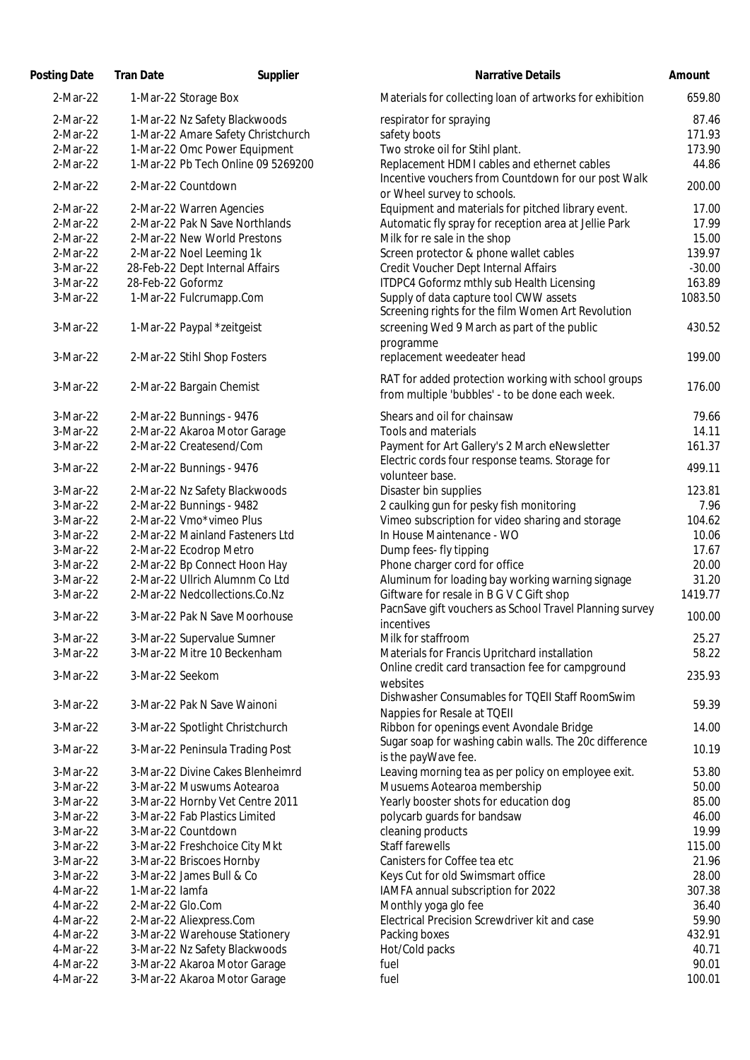| Posting Date | <b>Tran Date</b>                | Supplier                           | Narrative Details                                                                                   | Amount   |
|--------------|---------------------------------|------------------------------------|-----------------------------------------------------------------------------------------------------|----------|
| 2-Mar-22     | 1-Mar-22 Storage Box            |                                    | Materials for collecting loan of artworks for exhibition                                            | 659.80   |
| 2-Mar-22     | 1-Mar-22 Nz Safety Blackwoods   |                                    | respirator for spraying                                                                             | 87.46    |
| 2-Mar-22     |                                 | 1-Mar-22 Amare Safety Christchurch | safety boots                                                                                        | 171.93   |
| 2-Mar-22     |                                 | 1-Mar-22 Omc Power Equipment       | Two stroke oil for Stihl plant.                                                                     | 173.90   |
| 2-Mar-22     |                                 | 1-Mar-22 Pb Tech Online 09 5269200 | Replacement HDMI cables and ethernet cables                                                         | 44.86    |
| 2-Mar-22     | 2-Mar-22 Countdown              |                                    | Incentive vouchers from Countdown for our post Walk<br>or Wheel survey to schools.                  | 200.00   |
| 2-Mar-22     | 2-Mar-22 Warren Agencies        |                                    | Equipment and materials for pitched library event.                                                  | 17.00    |
| 2-Mar-22     |                                 | 2-Mar-22 Pak N Save Northlands     | Automatic fly spray for reception area at Jellie Park                                               | 17.99    |
| 2-Mar-22     | 2-Mar-22 New World Prestons     |                                    | Milk for re sale in the shop                                                                        | 15.00    |
| 2-Mar-22     | 2-Mar-22 Noel Leeming 1k        |                                    | Screen protector & phone wallet cables                                                              | 139.97   |
| 3-Mar-22     | 28-Feb-22 Dept Internal Affairs |                                    | Credit Voucher Dept Internal Affairs                                                                | $-30.00$ |
| 3-Mar-22     | 28-Feb-22 Goformz               |                                    | ITDPC4 Goformz mthly sub Health Licensing                                                           | 163.89   |
| 3-Mar-22     | 1-Mar-22 Fulcrumapp.Com         |                                    | Supply of data capture tool CWW assets<br>Screening rights for the film Women Art Revolution        | 1083.50  |
| 3-Mar-22     | 1-Mar-22 Paypal *zeitgeist      |                                    | screening Wed 9 March as part of the public                                                         | 430.52   |
| 3-Mar-22     | 2-Mar-22 Stihl Shop Fosters     |                                    | programme<br>replacement weedeater head                                                             | 199.00   |
|              |                                 |                                    | RAT for added protection working with school groups                                                 |          |
| 3-Mar-22     | 2-Mar-22 Bargain Chemist        |                                    | from multiple 'bubbles' - to be done each week.                                                     | 176.00   |
| 3-Mar-22     | 2-Mar-22 Bunnings - 9476        |                                    | Shears and oil for chainsaw                                                                         | 79.66    |
| 3-Mar-22     | 2-Mar-22 Akaroa Motor Garage    |                                    | Tools and materials                                                                                 | 14.11    |
| 3-Mar-22     | 2-Mar-22 Createsend/Com         |                                    | Payment for Art Gallery's 2 March eNewsletter                                                       | 161.37   |
| 3-Mar-22     | 2-Mar-22 Bunnings - 9476        |                                    | Electric cords four response teams. Storage for<br>volunteer base.                                  | 499.11   |
| 3-Mar-22     | 2-Mar-22 Nz Safety Blackwoods   |                                    | Disaster bin supplies                                                                               | 123.81   |
| 3-Mar-22     | 2-Mar-22 Bunnings - 9482        |                                    | 2 caulking gun for pesky fish monitoring                                                            | 7.96     |
| 3-Mar-22     | 2-Mar-22 Vmo*vimeo Plus         |                                    | Vimeo subscription for video sharing and storage                                                    | 104.62   |
| 3-Mar-22     |                                 | 2-Mar-22 Mainland Fasteners Ltd    | In House Maintenance - WO                                                                           | 10.06    |
| 3-Mar-22     | 2-Mar-22 Ecodrop Metro          |                                    | Dump fees- fly tipping                                                                              | 17.67    |
| 3-Mar-22     |                                 | 2-Mar-22 Bp Connect Hoon Hay       | Phone charger cord for office                                                                       | 20.00    |
| 3-Mar-22     |                                 | 2-Mar-22 Ullrich Alumnm Co Ltd     | Aluminum for loading bay working warning signage                                                    | 31.20    |
| 3-Mar-22     | 2-Mar-22 Nedcollections.Co.Nz   |                                    | Giftware for resale in B G V C Gift shop<br>PacnSave gift vouchers as School Travel Planning survey | 1419.77  |
| 3-Mar-22     |                                 | 3-Mar-22 Pak N Save Moorhouse      | incentives                                                                                          | 100.00   |
| 3-Mar-22     | 3-Mar-22 Supervalue Sumner      |                                    | Milk for staffroom                                                                                  | 25.27    |
| 3-Mar-22     | 3-Mar-22 Mitre 10 Beckenham     |                                    | Materials for Francis Upritchard installation<br>Online credit card transaction fee for campground  | 58.22    |
| 3-Mar-22     | 3-Mar-22 Seekom                 |                                    | websites                                                                                            | 235.93   |
| 3-Mar-22     | 3-Mar-22 Pak N Save Wainoni     |                                    | Dishwasher Consumables for TQEII Staff RoomSwim<br>Nappies for Resale at TQEII                      | 59.39    |
| 3-Mar-22     |                                 | 3-Mar-22 Spotlight Christchurch    | Ribbon for openings event Avondale Bridge                                                           | 14.00    |
| 3-Mar-22     |                                 | 3-Mar-22 Peninsula Trading Post    | Sugar soap for washing cabin walls. The 20c difference<br>is the payWave fee.                       | 10.19    |
| 3-Mar-22     |                                 | 3-Mar-22 Divine Cakes Blenheimrd   | Leaving morning tea as per policy on employee exit.                                                 | 53.80    |
| 3-Mar-22     | 3-Mar-22 Muswums Aotearoa       |                                    | Musuems Aotearoa membership                                                                         | 50.00    |
| 3-Mar-22     |                                 | 3-Mar-22 Hornby Vet Centre 2011    | Yearly booster shots for education dog                                                              | 85.00    |
| 3-Mar-22     | 3-Mar-22 Fab Plastics Limited   |                                    | polycarb guards for bandsaw                                                                         | 46.00    |
| 3-Mar-22     | 3-Mar-22 Countdown              |                                    | cleaning products                                                                                   | 19.99    |
| 3-Mar-22     | 3-Mar-22 Freshchoice City Mkt   |                                    | Staff farewells                                                                                     | 115.00   |
| 3-Mar-22     | 3-Mar-22 Briscoes Hornby        |                                    | Canisters for Coffee tea etc                                                                        | 21.96    |
| 3-Mar-22     | 3-Mar-22 James Bull & Co        |                                    | Keys Cut for old Swimsmart office                                                                   | 28.00    |
| 4-Mar-22     | 1-Mar-22 lamfa                  |                                    | IAMFA annual subscription for 2022                                                                  | 307.38   |
| 4-Mar-22     | 2-Mar-22 Glo.Com                |                                    | Monthly yoga glo fee                                                                                | 36.40    |
| 4-Mar-22     | 2-Mar-22 Aliexpress.Com         |                                    | Electrical Precision Screwdriver kit and case                                                       | 59.90    |
| 4-Mar-22     |                                 | 3-Mar-22 Warehouse Stationery      | Packing boxes                                                                                       | 432.91   |
| 4-Mar-22     | 3-Mar-22 Nz Safety Blackwoods   |                                    | Hot/Cold packs                                                                                      | 40.71    |
| 4-Mar-22     | 3-Mar-22 Akaroa Motor Garage    |                                    | fuel                                                                                                | 90.01    |
| 4-Mar-22     | 3-Mar-22 Akaroa Motor Garage    |                                    | fuel                                                                                                | 100.01   |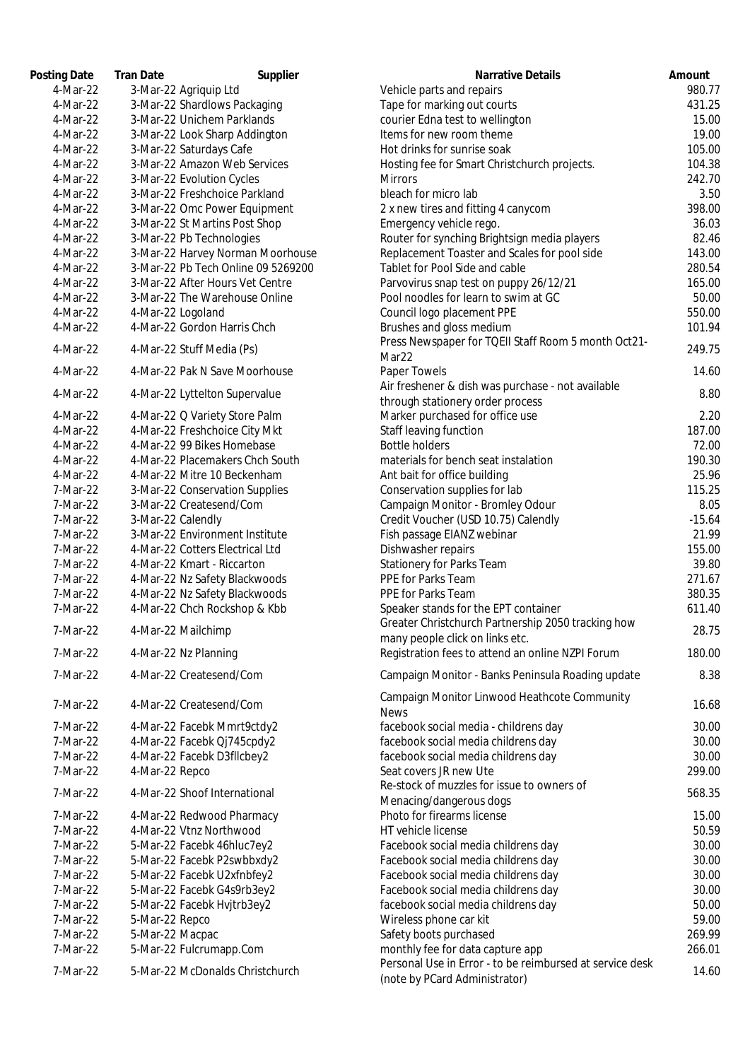| Posting Date | <b>Tran Date</b><br>Supplier       | <b>Narrative Details</b>                                                              | Amount |
|--------------|------------------------------------|---------------------------------------------------------------------------------------|--------|
| 4-Mar-22     | 3-Mar-22 Agriquip Ltd              | Vehicle parts and repairs                                                             | 980.   |
| 4-Mar-22     | 3-Mar-22 Shardlows Packaging       | Tape for marking out courts                                                           | 431.   |
| 4-Mar-22     | 3-Mar-22 Unichem Parklands         | courier Edna test to wellington                                                       | 15.    |
| 4-Mar-22     | 3-Mar-22 Look Sharp Addington      | Items for new room theme                                                              | 19.    |
| 4-Mar-22     | 3-Mar-22 Saturdays Cafe            | Hot drinks for sunrise soak                                                           | 105.   |
| 4-Mar-22     | 3-Mar-22 Amazon Web Services       | Hosting fee for Smart Christchurch projects.                                          | 104.   |
| 4-Mar-22     | 3-Mar-22 Evolution Cycles          | <b>Mirrors</b>                                                                        | 242.   |
| 4-Mar-22     | 3-Mar-22 Freshchoice Parkland      | bleach for micro lab                                                                  | 3.     |
| 4-Mar-22     | 3-Mar-22 Omc Power Equipment       | 2 x new tires and fitting 4 canycom                                                   | 398.   |
| 4-Mar-22     | 3-Mar-22 St Martins Post Shop      | Emergency vehicle rego.                                                               | 36.    |
| 4-Mar-22     | 3-Mar-22 Pb Technologies           | Router for synching Brightsign media players                                          | 82.    |
| 4-Mar-22     | 3-Mar-22 Harvey Norman Moorhouse   | Replacement Toaster and Scales for pool side                                          | 143.   |
| 4-Mar-22     | 3-Mar-22 Pb Tech Online 09 5269200 | Tablet for Pool Side and cable                                                        | 280.   |
| 4-Mar-22     | 3-Mar-22 After Hours Vet Centre    | Parvovirus snap test on puppy 26/12/21                                                | 165.   |
| 4-Mar-22     | 3-Mar-22 The Warehouse Online      | Pool noodles for learn to swim at GC                                                  | 50.    |
| 4-Mar-22     | 4-Mar-22 Logoland                  | Council logo placement PPE                                                            | 550.   |
| 4-Mar-22     | 4-Mar-22 Gordon Harris Chch        | Brushes and gloss medium                                                              | 101.   |
| 4-Mar-22     | 4-Mar-22 Stuff Media (Ps)          | Press Newspaper for TQEII Staff Room 5 month Oct21-<br>Mar22                          | 249.   |
| 4-Mar-22     | 4-Mar-22 Pak N Save Moorhouse      | Paper Towels                                                                          | 14.    |
| 4-Mar-22     | 4-Mar-22 Lyttelton Supervalue      | Air freshener & dish was purchase - not available<br>through stationery order process | 8.     |
| 4-Mar-22     | 4-Mar-22 Q Variety Store Palm      | Marker purchased for office use                                                       | 2.     |
| 4-Mar-22     | 4-Mar-22 Freshchoice City Mkt      | Staff leaving function                                                                | 187.   |
| 4-Mar-22     | 4-Mar-22 99 Bikes Homebase         | <b>Bottle holders</b>                                                                 | 72.    |
| 4-Mar-22     | 4-Mar-22 Placemakers Chch South    | materials for bench seat instalation                                                  | 190.   |
| 4-Mar-22     | 4-Mar-22 Mitre 10 Beckenham        | Ant bait for office building                                                          | 25.    |
| 7-Mar-22     | 3-Mar-22 Conservation Supplies     | Conservation supplies for lab                                                         | 115.   |
| 7-Mar-22     | 3-Mar-22 Createsend/Com            | Campaign Monitor - Bromley Odour                                                      | 8.     |
| 7-Mar-22     | 3-Mar-22 Calendly                  | Credit Voucher (USD 10.75) Calendly                                                   | $-15.$ |
| 7-Mar-22     | 3-Mar-22 Environment Institute     | Fish passage EIANZ webinar                                                            | 21.    |
| 7-Mar-22     | 4-Mar-22 Cotters Electrical Ltd    | Dishwasher repairs                                                                    | 155.   |
| 7-Mar-22     | 4-Mar-22 Kmart - Riccarton         | <b>Stationery for Parks Team</b>                                                      | 39.    |
| 7-Mar-22     | 4-Mar-22 Nz Safety Blackwoods      | PPE for Parks Team                                                                    | 271.   |
| 7-Mar-22     | 4-Mar-22 Nz Safety Blackwoods      | PPE for Parks Team                                                                    | 380.   |
| 7-Mar-22     | 4-Mar-22 Chch Rockshop & Kbb       | Speaker stands for the EPT container                                                  | 611.   |
| 7-Mar-22     | 4-Mar-22 Mailchimp                 | Greater Christchurch Partnership 2050 tracking how                                    | 28.    |
| 7-Mar-22     | 4-Mar-22 Nz Planning               | many people click on links etc.<br>Registration fees to attend an online NZPI Forum   | 180.   |
| 7-Mar-22     | 4-Mar-22 Createsend/Com            | Campaign Monitor - Banks Peninsula Roading update                                     | 8.     |
| 7-Mar-22     | 4-Mar-22 Createsend/Com            | Campaign Monitor Linwood Heathcote Community<br><b>News</b>                           | 16.    |
| 7-Mar-22     | 4-Mar-22 Facebk Mmrt9ctdy2         | facebook social media - childrens day                                                 | 30.    |
| 7-Mar-22     | 4-Mar-22 Facebk Qj745cpdy2         | facebook social media childrens day                                                   | 30.    |
| 7-Mar-22     | 4-Mar-22 Facebk D3fllcbey2         | facebook social media childrens day                                                   | 30.    |
| 7-Mar-22     | 4-Mar-22 Repco                     | Seat covers JR new Ute                                                                | 299.   |
| 7-Mar-22     | 4-Mar-22 Shoof International       | Re-stock of muzzles for issue to owners of<br>Menacing/dangerous dogs                 | 568.   |
| 7-Mar-22     | 4-Mar-22 Redwood Pharmacy          | Photo for firearms license                                                            | 15.    |
| 7-Mar-22     | 4-Mar-22 Vtnz Northwood            | HT vehicle license                                                                    | 50.    |
| 7-Mar-22     | 5-Mar-22 Facebk 46hluc7ey2         | Facebook social media childrens day                                                   | 30.    |
| 7-Mar-22     | 5-Mar-22 Facebk P2swbbxdy2         | Facebook social media childrens day                                                   | 30.    |
| 7-Mar-22     | 5-Mar-22 Facebk U2xfnbfey2         | Facebook social media childrens day                                                   | 30.    |
| 7-Mar-22     | 5-Mar-22 Facebk G4s9rb3ey2         | Facebook social media childrens day                                                   | 30.    |
| 7-Mar-22     | 5-Mar-22 Facebk Hvjtrb3ey2         | facebook social media childrens day                                                   | 50.    |
| 7-Mar-22     | 5-Mar-22 Repco                     | Wireless phone car kit                                                                | 59.    |
| 7-Mar-22     | 5-Mar-22 Macpac                    | Safety boots purchased                                                                | 269.   |
| 7-Mar-22     | 5-Mar-22 Fulcrumapp.Com            | monthly fee for data capture app                                                      | 266.   |
|              |                                    | Personal Use in Error - to be reimbursed at service desk                              |        |
| 7-Mar-22     | 5-Mar-22 McDonalds Christchurch    | (note by DCard Administrator)                                                         | 14.    |

| πιγ υαισ | <b>Hall</b> Date<br>puppuc         | <b>INGLIQUIVE DETAILS</b>                                | AIIIvuin |
|----------|------------------------------------|----------------------------------------------------------|----------|
| 4-Mar-22 | 3-Mar-22 Agriquip Ltd              | Vehicle parts and repairs                                | 980.77   |
| 4-Mar-22 | 3-Mar-22 Shardlows Packaging       | Tape for marking out courts                              | 431.25   |
| 4-Mar-22 | 3-Mar-22 Unichem Parklands         | courier Edna test to wellington                          | 15.00    |
| 4-Mar-22 | 3-Mar-22 Look Sharp Addington      | Items for new room theme                                 | 19.00    |
| 4-Mar-22 | 3-Mar-22 Saturdays Cafe            | Hot drinks for sunrise soak                              | 105.00   |
| 4-Mar-22 | 3-Mar-22 Amazon Web Services       | Hosting fee for Smart Christchurch projects.             | 104.38   |
| 4-Mar-22 | 3-Mar-22 Evolution Cycles          | <b>Mirrors</b>                                           | 242.70   |
| 4-Mar-22 | 3-Mar-22 Freshchoice Parkland      | bleach for micro lab                                     | 3.50     |
| 4-Mar-22 | 3-Mar-22 Omc Power Equipment       | 2 x new tires and fitting 4 canycom                      | 398.00   |
| 4-Mar-22 | 3-Mar-22 St Martins Post Shop      | Emergency vehicle rego.                                  | 36.03    |
| 4-Mar-22 | 3-Mar-22 Pb Technologies           | Router for synching Brightsign media players             | 82.46    |
| 4-Mar-22 | 3-Mar-22 Harvey Norman Moorhouse   | Replacement Toaster and Scales for pool side             | 143.00   |
| 4-Mar-22 | 3-Mar-22 Pb Tech Online 09 5269200 | Tablet for Pool Side and cable                           | 280.54   |
| 4-Mar-22 | 3-Mar-22 After Hours Vet Centre    | Parvovirus snap test on puppy 26/12/21                   | 165.00   |
| 4-Mar-22 | 3-Mar-22 The Warehouse Online      | Pool noodles for learn to swim at GC                     | 50.00    |
| 4-Mar-22 | 4-Mar-22 Logoland                  | Council logo placement PPE                               | 550.00   |
| 4-Mar-22 | 4-Mar-22 Gordon Harris Chch        | Brushes and gloss medium                                 | 101.94   |
|          |                                    | Press Newspaper for TQEII Staff Room 5 month Oct21-      |          |
| 4-Mar-22 | 4-Mar-22 Stuff Media (Ps)          | Mar <sub>22</sub>                                        | 249.75   |
| 4-Mar-22 | 4-Mar-22 Pak N Save Moorhouse      | Paper Towels                                             | 14.60    |
|          |                                    | Air freshener & dish was purchase - not available        |          |
| 4-Mar-22 | 4-Mar-22 Lyttelton Supervalue      |                                                          | 8.80     |
|          |                                    | through stationery order process                         |          |
| 4-Mar-22 | 4-Mar-22 Q Variety Store Palm      | Marker purchased for office use                          | 2.20     |
| 4-Mar-22 | 4-Mar-22 Freshchoice City Mkt      | Staff leaving function                                   | 187.00   |
| 4-Mar-22 | 4-Mar-22 99 Bikes Homebase         | <b>Bottle holders</b>                                    | 72.00    |
| 4-Mar-22 | 4-Mar-22 Placemakers Chch South    | materials for bench seat instalation                     | 190.30   |
| 4-Mar-22 | 4-Mar-22 Mitre 10 Beckenham        | Ant bait for office building                             | 25.96    |
| 7-Mar-22 | 3-Mar-22 Conservation Supplies     | Conservation supplies for lab                            | 115.25   |
| 7-Mar-22 | 3-Mar-22 Createsend/Com            | Campaign Monitor - Bromley Odour                         | 8.05     |
| 7-Mar-22 | 3-Mar-22 Calendly                  | Credit Voucher (USD 10.75) Calendly                      | $-15.64$ |
| 7-Mar-22 | 3-Mar-22 Environment Institute     | Fish passage EIANZ webinar                               | 21.99    |
| 7-Mar-22 | 4-Mar-22 Cotters Electrical Ltd    | Dishwasher repairs                                       | 155.00   |
| 7-Mar-22 | 4-Mar-22 Kmart - Riccarton         | Stationery for Parks Team                                | 39.80    |
| 7-Mar-22 | 4-Mar-22 Nz Safety Blackwoods      | PPE for Parks Team                                       | 271.67   |
| 7-Mar-22 | 4-Mar-22 Nz Safety Blackwoods      | PPE for Parks Team                                       | 380.35   |
| 7-Mar-22 | 4-Mar-22 Chch Rockshop & Kbb       | Speaker stands for the EPT container                     | 611.40   |
| 7-Mar-22 | 4-Mar-22 Mailchimp                 | Greater Christchurch Partnership 2050 tracking how       | 28.75    |
|          |                                    | many people click on links etc.                          |          |
| 7-Mar-22 | 4-Mar-22 Nz Planning               | Registration fees to attend an online NZPI Forum         | 180.00   |
| 7-Mar-22 | 4-Mar-22 Createsend/Com            | Campaign Monitor - Banks Peninsula Roading update        | 8.38     |
|          |                                    | Campaign Monitor Linwood Heathcote Community             |          |
| 7-Mar-22 | 4-Mar-22 Createsend/Com            | <b>News</b>                                              | 16.68    |
| 7-Mar-22 | 4-Mar-22 Facebk Mmrt9ctdy2         | facebook social media - childrens day                    | 30.00    |
| 7-Mar-22 | 4-Mar-22 Facebk Qj745cpdy2         | facebook social media childrens day                      | 30.00    |
| 7-Mar-22 | 4-Mar-22 Facebk D3fllcbey2         | facebook social media childrens day                      | 30.00    |
| 7-Mar-22 | 4-Mar-22 Repco                     | Seat covers JR new Ute                                   | 299.00   |
|          |                                    | Re-stock of muzzles for issue to owners of               |          |
| 7-Mar-22 | 4-Mar-22 Shoof International       | Menacing/dangerous dogs                                  | 568.35   |
| 7-Mar-22 | 4-Mar-22 Redwood Pharmacy          | Photo for firearms license                               | 15.00    |
| 7-Mar-22 | 4-Mar-22 Vtnz Northwood            | HT vehicle license                                       | 50.59    |
| 7-Mar-22 | 5-Mar-22 Facebk 46hluc7ey2         | Facebook social media childrens day                      | 30.00    |
| 7-Mar-22 | 5-Mar-22 Facebk P2swbbxdy2         | Facebook social media childrens day                      | 30.00    |
| 7-Mar-22 | 5-Mar-22 Facebk U2xfnbfey2         | Facebook social media childrens day                      | 30.00    |
| 7-Mar-22 | 5-Mar-22 Facebk G4s9rb3ey2         | Facebook social media childrens day                      | 30.00    |
| 7-Mar-22 | 5-Mar-22 Facebk Hvjtrb3ey2         | facebook social media childrens day                      | 50.00    |
| 7-Mar-22 | 5-Mar-22 Repco                     | Wireless phone car kit                                   | 59.00    |
| 7-Mar-22 | 5-Mar-22 Macpac                    | Safety boots purchased                                   | 269.99   |
| 7-Mar-22 | 5-Mar-22 Fulcrumapp.Com            | monthly fee for data capture app                         | 266.01   |
| 7-Mar-22 | 5-Mar-22 McDonalds Christchurch    | Personal Use in Error - to be reimbursed at service desk | 14.60    |
|          |                                    | (note by PCard Administrator)                            |          |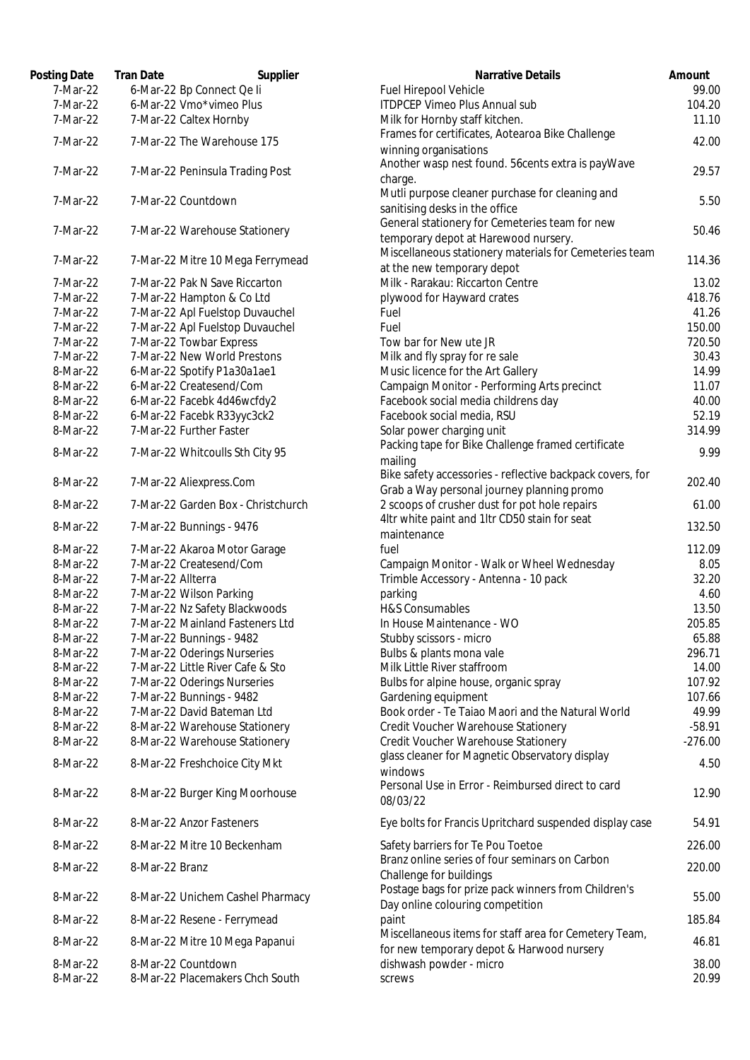| Posting Date         | <b>Tran Date</b>                 | Supplier                           | <b>Narrative Details</b>                                                                    |
|----------------------|----------------------------------|------------------------------------|---------------------------------------------------------------------------------------------|
| 7-Mar-22             | 6-Mar-22 Bp Connect Qe li        |                                    | Fuel Hirepool Vehicle                                                                       |
| 7-Mar-22             | 6-Mar-22 Vmo*vimeo Plus          |                                    | <b>ITDPCEP Vimeo Plus Annual sub</b>                                                        |
| 7-Mar-22             | 7-Mar-22 Caltex Hornby           |                                    | Milk for Hornby staff kitchen.                                                              |
| 7-Mar-22             | 7-Mar-22 The Warehouse 175       |                                    | Frames for certificates, Aotearoa Bike Challenge<br>winning organisations                   |
| 7-Mar-22             | 7-Mar-22 Peninsula Trading Post  |                                    | Another wasp nest found. 56cents extra is payWave<br>charge.                                |
| 7-Mar-22             | 7-Mar-22 Countdown               |                                    | Mutli purpose cleaner purchase for cleaning and<br>sanitising desks in the office           |
| 7-Mar-22             | 7-Mar-22 Warehouse Stationery    |                                    | General stationery for Cemeteries team for new<br>temporary depot at Harewood nursery.      |
| 7-Mar-22             |                                  | 7-Mar-22 Mitre 10 Mega Ferrymead   | Miscellaneous stationery materials for Cemeteries tear<br>at the new temporary depot        |
| 7-Mar-22             | 7-Mar-22 Pak N Save Riccarton    |                                    | Milk - Rarakau: Riccarton Centre                                                            |
| 7-Mar-22             | 7-Mar-22 Hampton & Co Ltd        |                                    | plywood for Hayward crates                                                                  |
| 7-Mar-22             | 7-Mar-22 Apl Fuelstop Duvauchel  |                                    | Fuel                                                                                        |
| 7-Mar-22             | 7-Mar-22 Apl Fuelstop Duvauchel  |                                    | Fuel                                                                                        |
| 7-Mar-22             | 7-Mar-22 Towbar Express          |                                    | Tow bar for New ute JR                                                                      |
| 7-Mar-22             | 7-Mar-22 New World Prestons      |                                    | Milk and fly spray for re sale                                                              |
| 8-Mar-22             | 6-Mar-22 Spotify P1a30a1ae1      |                                    | Music licence for the Art Gallery                                                           |
| 8-Mar-22             | 6-Mar-22 Createsend/Com          |                                    | Campaign Monitor - Performing Arts precinct                                                 |
| 8-Mar-22             | 6-Mar-22 Facebk 4d46wcfdy2       |                                    | Facebook social media childrens day                                                         |
| 8-Mar-22             | 6-Mar-22 Facebk R33yyc3ck2       |                                    | Facebook social media, RSU                                                                  |
| 8-Mar-22             | 7-Mar-22 Further Faster          |                                    | Solar power charging unit                                                                   |
|                      |                                  |                                    | Packing tape for Bike Challenge framed certificate                                          |
| 8-Mar-22             | 7-Mar-22 Whitcoulls Sth City 95  |                                    | mailing                                                                                     |
|                      |                                  |                                    | Bike safety accessories - reflective backpack covers, for                                   |
| 8-Mar-22<br>8-Mar-22 | 7-Mar-22 Aliexpress.Com          | 7-Mar-22 Garden Box - Christchurch | Grab a Way personal journey planning promo<br>2 scoops of crusher dust for pot hole repairs |
| 8-Mar-22             | 7-Mar-22 Bunnings - 9476         |                                    | 4ltr white paint and 1ltr CD50 stain for seat                                               |
|                      |                                  |                                    | maintenance                                                                                 |
| 8-Mar-22             | 7-Mar-22 Akaroa Motor Garage     |                                    | fuel                                                                                        |
| 8-Mar-22             | 7-Mar-22 Createsend/Com          |                                    | Campaign Monitor - Walk or Wheel Wednesday                                                  |
| 8-Mar-22             | 7-Mar-22 Allterra                |                                    | Trimble Accessory - Antenna - 10 pack                                                       |
| 8-Mar-22             | 7-Mar-22 Wilson Parking          |                                    | parking                                                                                     |
| 8-Mar-22             | 7-Mar-22 Nz Safety Blackwoods    |                                    | H&S Consumables                                                                             |
| 8-Mar-22             | 7-Mar-22 Mainland Fasteners Ltd  |                                    | In House Maintenance - WO                                                                   |
| 8-Mar-22             | 7-Mar-22 Bunnings - 9482         |                                    | Stubby scissors - micro                                                                     |
| 8-Mar-22             | 7-Mar-22 Oderings Nurseries      |                                    | Bulbs & plants mona vale                                                                    |
| 8-Mar-22             | 7-Mar-22 Little River Cafe & Sto |                                    | Milk Little River staffroom                                                                 |
| 8-Mar-22             | 7-Mar-22 Oderings Nurseries      |                                    | Bulbs for alpine house, organic spray                                                       |
| 8-Mar-22             | 7-Mar-22 Bunnings - 9482         |                                    | Gardening equipment                                                                         |
| 8-Mar-22             | 7-Mar-22 David Bateman Ltd       |                                    | Book order - Te Taiao Maori and the Natural World                                           |
| 8-Mar-22             | 8-Mar-22 Warehouse Stationery    |                                    | Credit Voucher Warehouse Stationery                                                         |
| 8-Mar-22             | 8-Mar-22 Warehouse Stationery    |                                    | Credit Voucher Warehouse Stationery                                                         |
| 8-Mar-22             | 8-Mar-22 Freshchoice City Mkt    |                                    | glass cleaner for Magnetic Observatory display<br>windows                                   |
| 8-Mar-22             | 8-Mar-22 Burger King Moorhouse   |                                    | Personal Use in Error - Reimbursed direct to card<br>08/03/22                               |
| 8-Mar-22             | 8-Mar-22 Anzor Fasteners         |                                    | Eye bolts for Francis Upritchard suspended display case                                     |
| 8-Mar-22             | 8-Mar-22 Mitre 10 Beckenham      |                                    | Safety barriers for Te Pou Toetoe                                                           |
| 8-Mar-22             | 8-Mar-22 Branz                   |                                    | Branz online series of four seminars on Carbon                                              |
| 8-Mar-22             |                                  | 8-Mar-22 Unichem Cashel Pharmacy   | Challenge for buildings<br>Postage bags for prize pack winners from Children's              |
| 8-Mar-22             | 8-Mar-22 Resene - Ferrymead      |                                    | Day online colouring competition<br>paint                                                   |
| 8-Mar-22             | 8-Mar-22 Mitre 10 Mega Papanui   |                                    | Miscellaneous items for staff area for Cemetery Team,                                       |
|                      |                                  |                                    | for new temporary depot & Harwood nursery                                                   |
| 8-Mar-22<br>8-Mar-22 | 8-Mar-22 Countdown               | 8-Mar-22 Placemakers Chch South    | dishwash powder - micro<br>screws                                                           |

| Posting Date | <b>Tran Date</b><br>Supplier       | <b>Narrative Details</b>                                  | Amount    |
|--------------|------------------------------------|-----------------------------------------------------------|-----------|
| 7-Mar-22     | 6-Mar-22 Bp Connect Qe li          | Fuel Hirepool Vehicle                                     | 99.00     |
| 7-Mar-22     | 6-Mar-22 Vmo*vimeo Plus            | <b>ITDPCEP Vimeo Plus Annual sub</b>                      | 104.20    |
| 7-Mar-22     | 7-Mar-22 Caltex Hornby             | Milk for Hornby staff kitchen.                            | 11.10     |
|              |                                    | Frames for certificates, Aotearoa Bike Challenge          |           |
| 7-Mar-22     | 7-Mar-22 The Warehouse 175         | winning organisations                                     | 42.00     |
|              |                                    | Another wasp nest found. 56cents extra is payWave         |           |
| 7-Mar-22     | 7-Mar-22 Peninsula Trading Post    |                                                           | 29.57     |
|              |                                    | charge.                                                   |           |
| 7-Mar-22     | 7-Mar-22 Countdown                 | Mutli purpose cleaner purchase for cleaning and           | 5.50      |
|              |                                    | sanitising desks in the office                            |           |
| 7-Mar-22     | 7-Mar-22 Warehouse Stationery      | General stationery for Cemeteries team for new            | 50.46     |
|              |                                    | temporary depot at Harewood nursery.                      |           |
|              |                                    | Miscellaneous stationery materials for Cemeteries team    |           |
| 7-Mar-22     | 7-Mar-22 Mitre 10 Mega Ferrymead   | at the new temporary depot                                | 114.36    |
| 7-Mar-22     | 7-Mar-22 Pak N Save Riccarton      | Milk - Rarakau: Riccarton Centre                          | 13.02     |
| 7-Mar-22     | 7-Mar-22 Hampton & Co Ltd          | plywood for Hayward crates                                | 418.76    |
| 7-Mar-22     | 7-Mar-22 Apl Fuelstop Duvauchel    | Fuel                                                      | 41.26     |
| 7-Mar-22     | 7-Mar-22 Apl Fuelstop Duvauchel    | Fuel                                                      | 150.00    |
|              |                                    |                                                           |           |
| 7-Mar-22     | 7-Mar-22 Towbar Express            | Tow bar for New ute JR                                    | 720.50    |
| 7-Mar-22     | 7-Mar-22 New World Prestons        | Milk and fly spray for re sale                            | 30.43     |
| 8-Mar-22     | 6-Mar-22 Spotify P1a30a1ae1        | Music licence for the Art Gallery                         | 14.99     |
| 8-Mar-22     | 6-Mar-22 Createsend/Com            | Campaign Monitor - Performing Arts precinct               | 11.07     |
| 8-Mar-22     | 6-Mar-22 Facebk 4d46wcfdy2         | Facebook social media childrens day                       | 40.00     |
| 8-Mar-22     | 6-Mar-22 Facebk R33yyc3ck2         | Facebook social media, RSU                                | 52.19     |
| 8-Mar-22     | 7-Mar-22 Further Faster            | Solar power charging unit                                 | 314.99    |
|              |                                    | Packing tape for Bike Challenge framed certificate        |           |
| 8-Mar-22     | 7-Mar-22 Whitcoulls Sth City 95    | mailing                                                   | 9.99      |
|              |                                    | Bike safety accessories - reflective backpack covers, for |           |
| 8-Mar-22     | 7-Mar-22 Aliexpress.Com            |                                                           | 202.40    |
|              |                                    | Grab a Way personal journey planning promo                |           |
| 8-Mar-22     | 7-Mar-22 Garden Box - Christchurch | 2 scoops of crusher dust for pot hole repairs             | 61.00     |
| 8-Mar-22     | 7-Mar-22 Bunnings - 9476           | 4ltr white paint and 1ltr CD50 stain for seat             | 132.50    |
|              |                                    | maintenance                                               |           |
| 8-Mar-22     | 7-Mar-22 Akaroa Motor Garage       | fuel                                                      | 112.09    |
| 8-Mar-22     | 7-Mar-22 Createsend/Com            | Campaign Monitor - Walk or Wheel Wednesday                | 8.05      |
| 8-Mar-22     | 7-Mar-22 Allterra                  | Trimble Accessory - Antenna - 10 pack                     | 32.20     |
| 8-Mar-22     | 7-Mar-22 Wilson Parking            | parking                                                   | 4.60      |
| 8-Mar-22     | 7-Mar-22 Nz Safety Blackwoods      | H&S Consumables                                           | 13.50     |
| 8-Mar-22     | 7-Mar-22 Mainland Fasteners Ltd    | In House Maintenance - WO                                 | 205.85    |
| 8-Mar-22     |                                    |                                                           |           |
|              | 7-Mar-22 Bunnings - 9482           | Stubby scissors - micro                                   | 65.88     |
| 8-Mar-22     | 7-Mar-22 Oderings Nurseries        | Bulbs & plants mona vale                                  | 296.71    |
| 8-Mar-22     | 7-Mar-22 Little River Cafe & Sto   | Milk Little River staffroom                               | 14.00     |
| 8-Mar-22     | 7-Mar-22 Oderings Nurseries        | Bulbs for alpine house, organic spray                     | 107.92    |
| 8-Mar-22     | 7-Mar-22 Bunnings - 9482           | Gardening equipment                                       | 107.66    |
| 8-Mar-22     | 7-Mar-22 David Bateman Ltd         | Book order - Te Taiao Maori and the Natural World         | 49.99     |
| 8-Mar-22     | 8-Mar-22 Warehouse Stationery      | Credit Voucher Warehouse Stationery                       | $-58.91$  |
| 8-Mar-22     | 8-Mar-22 Warehouse Stationery      | Credit Voucher Warehouse Stationery                       | $-276.00$ |
|              |                                    | glass cleaner for Magnetic Observatory display            |           |
| 8-Mar-22     | 8-Mar-22 Freshchoice City Mkt      | windows                                                   | 4.50      |
|              |                                    |                                                           |           |
| 8-Mar-22     | 8-Mar-22 Burger King Moorhouse     | Personal Use in Error - Reimbursed direct to card         | 12.90     |
|              |                                    | 08/03/22                                                  |           |
| 8-Mar-22     | 8-Mar-22 Anzor Fasteners           | Eye bolts for Francis Upritchard suspended display case   | 54.91     |
|              |                                    |                                                           |           |
| 8-Mar-22     | 8-Mar-22 Mitre 10 Beckenham        | Safety barriers for Te Pou Toetoe                         | 226.00    |
|              |                                    | Branz online series of four seminars on Carbon            |           |
| 8-Mar-22     | 8-Mar-22 Branz                     | Challenge for buildings                                   | 220.00    |
|              |                                    | Postage bags for prize pack winners from Children's       |           |
| 8-Mar-22     | 8-Mar-22 Unichem Cashel Pharmacy   | Day online colouring competition                          | 55.00     |
| 8-Mar-22     | 8-Mar-22 Resene - Ferrymead        | paint                                                     | 185.84    |
|              |                                    |                                                           |           |
| 8-Mar-22     | 8-Mar-22 Mitre 10 Mega Papanui     | Miscellaneous items for staff area for Cemetery Team,     | 46.81     |
|              |                                    | for new temporary depot & Harwood nursery                 |           |
| 8-Mar-22     | 8-Mar-22 Countdown                 | dishwash powder - micro                                   | 38.00     |
| 8-Mar-22     | 8-Mar-22 Placemakers Chch South    | screws                                                    | 20.99     |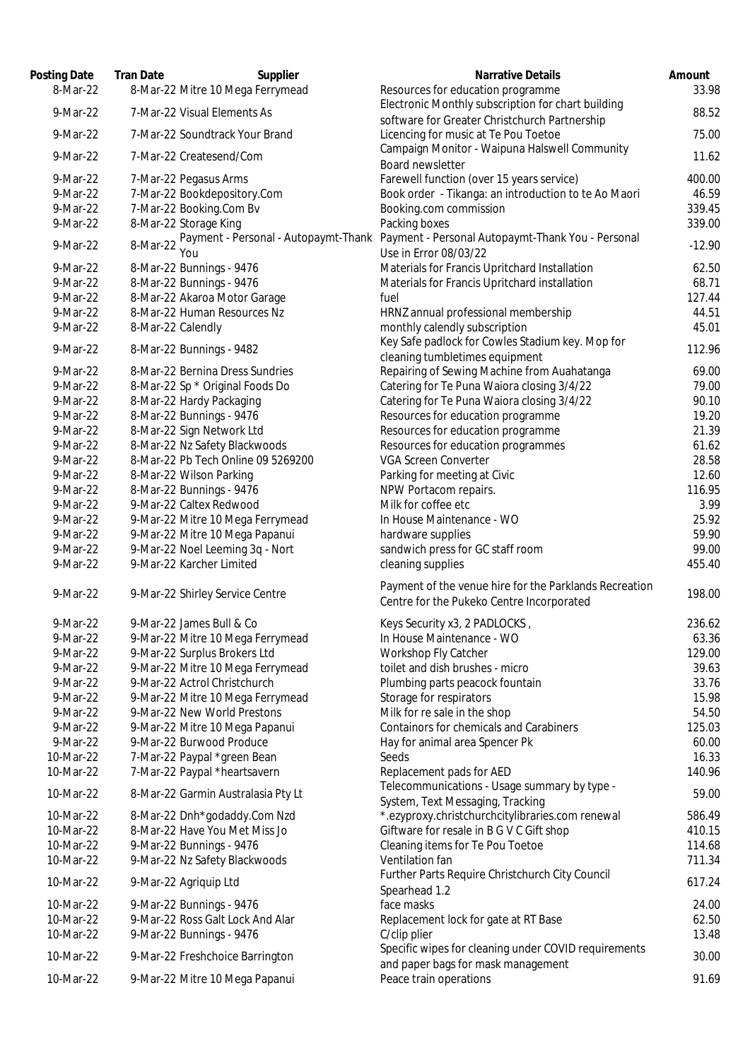| Posting Date | <b>Tran Date</b>  | Supplier                             | <b>Narrative Details</b>                                                                   | Amount   |
|--------------|-------------------|--------------------------------------|--------------------------------------------------------------------------------------------|----------|
| 8-Mar-22     |                   | 8-Mar-22 Mitre 10 Mega Ferrymead     | Resources for education programme                                                          | 33.98    |
| 9-Mar-22     |                   | 7-Mar-22 Visual Elements As          | Electronic Monthly subscription for chart building                                         | 88.52    |
| 9-Mar-22     |                   | 7-Mar-22 Soundtrack Your Brand       | software for Greater Christchurch Partnership                                              | 75.00    |
|              |                   |                                      | Licencing for music at Te Pou Toetoe<br>Campaign Monitor - Waipuna Halswell Community      |          |
| 9-Mar-22     |                   | 7-Mar-22 Createsend/Com              | Board newsletter                                                                           | 11.62    |
| 9-Mar-22     |                   | 7-Mar-22 Pegasus Arms                | Farewell function (over 15 years service)                                                  | 400.00   |
| 9-Mar-22     |                   | 7-Mar-22 Bookdepository.Com          | Book order - Tikanga: an introduction to te Ao Maori                                       | 46.59    |
| 9-Mar-22     |                   | 7-Mar-22 Booking.Com Bv              | Booking.com commission                                                                     | 339.45   |
| 9-Mar-22     |                   | 8-Mar-22 Storage King                | Packing boxes                                                                              | 339.00   |
| 9-Mar-22     | 8-Mar-22          | Payment - Personal - Autopaymt-Thank | Payment - Personal Autopaymt-Thank You - Personal                                          | $-12.90$ |
|              |                   | You                                  | Use in Error 08/03/22                                                                      |          |
| 9-Mar-22     |                   | 8-Mar-22 Bunnings - 9476             | Materials for Francis Upritchard Installation                                              | 62.50    |
| 9-Mar-22     |                   | 8-Mar-22 Bunnings - 9476             | Materials for Francis Upritchard installation                                              | 68.71    |
| 9-Mar-22     |                   | 8-Mar-22 Akaroa Motor Garage         | fuel                                                                                       | 127.44   |
| 9-Mar-22     |                   | 8-Mar-22 Human Resources Nz          | HRNZ annual professional membership                                                        | 44.51    |
| 9-Mar-22     | 8-Mar-22 Calendly |                                      | monthly calendly subscription                                                              | 45.01    |
| 9-Mar-22     |                   | 8-Mar-22 Bunnings - 9482             | Key Safe padlock for Cowles Stadium key. Mop for                                           | 112.96   |
|              |                   |                                      | cleaning tumbletimes equipment                                                             |          |
| 9-Mar-22     |                   | 8-Mar-22 Bernina Dress Sundries      | Repairing of Sewing Machine from Auahatanga                                                | 69.00    |
| 9-Mar-22     |                   | 8-Mar-22 Sp * Original Foods Do      | Catering for Te Puna Waiora closing 3/4/22                                                 | 79.00    |
| 9-Mar-22     |                   | 8-Mar-22 Hardy Packaging             | Catering for Te Puna Waiora closing 3/4/22                                                 | 90.10    |
| 9-Mar-22     |                   | 8-Mar-22 Bunnings - 9476             | Resources for education programme                                                          | 19.20    |
| 9-Mar-22     |                   | 8-Mar-22 Sign Network Ltd            | Resources for education programme                                                          | 21.39    |
| 9-Mar-22     |                   | 8-Mar-22 Nz Safety Blackwoods        | Resources for education programmes                                                         | 61.62    |
| 9-Mar-22     |                   | 8-Mar-22 Pb Tech Online 09 5269200   | <b>VGA Screen Converter</b>                                                                | 28.58    |
| 9-Mar-22     |                   | 8-Mar-22 Wilson Parking              | Parking for meeting at Civic                                                               | 12.60    |
| 9-Mar-22     |                   | 8-Mar-22 Bunnings - 9476             | NPW Portacom repairs.                                                                      | 116.95   |
| 9-Mar-22     |                   | 9-Mar-22 Caltex Redwood              | Milk for coffee etc                                                                        | 3.99     |
| 9-Mar-22     |                   | 9-Mar-22 Mitre 10 Mega Ferrymead     | In House Maintenance - WO                                                                  | 25.92    |
| 9-Mar-22     |                   | 9-Mar-22 Mitre 10 Mega Papanui       | hardware supplies                                                                          | 59.90    |
| 9-Mar-22     |                   | 9-Mar-22 Noel Leeming 3q - Nort      | sandwich press for GC staff room                                                           | 99.00    |
| 9-Mar-22     |                   | 9-Mar-22 Karcher Limited             | cleaning supplies                                                                          | 455.40   |
| 9-Mar-22     |                   | 9-Mar-22 Shirley Service Centre      | Payment of the venue hire for the Parklands Recreation                                     | 198.00   |
|              |                   |                                      | Centre for the Pukeko Centre Incorporated                                                  |          |
| 9-Mar-22     |                   | 9-Mar-22 James Bull & Co             | Keys Security x3, 2 PADLOCKS,                                                              | 236.62   |
| 9-Mar-22     |                   | 9-Mar-22 Mitre 10 Mega Ferrymead     | In House Maintenance - WO                                                                  | 63.36    |
| 9-Mar-22     |                   | 9-Mar-22 Surplus Brokers Ltd         | Workshop Fly Catcher                                                                       | 129.00   |
| 9-Mar-22     |                   | 9-Mar-22 Mitre 10 Mega Ferrymead     | toilet and dish brushes - micro                                                            | 39.63    |
| 9-Mar-22     |                   | 9-Mar-22 Actrol Christchurch         | Plumbing parts peacock fountain                                                            | 33.76    |
| 9-Mar-22     |                   | 9-Mar-22 Mitre 10 Mega Ferrymead     | Storage for respirators                                                                    | 15.98    |
| 9-Mar-22     |                   | 9-Mar-22 New World Prestons          | Milk for re sale in the shop                                                               | 54.50    |
| 9-Mar-22     |                   | 9-Mar-22 Mitre 10 Mega Papanui       | <b>Containors for chemicals and Carabiners</b>                                             | 125.03   |
| 9-Mar-22     |                   | 9-Mar-22 Burwood Produce             | Hay for animal area Spencer Pk                                                             | 60.00    |
| 10-Mar-22    |                   | 7-Mar-22 Paypal *green Bean          | Seeds                                                                                      | 16.33    |
| 10-Mar-22    |                   | 7-Mar-22 Paypal *heartsavern         | Replacement pads for AED                                                                   | 140.96   |
| 10-Mar-22    |                   | 8-Mar-22 Garmin Australasia Pty Lt   | Telecommunications - Usage summary by type -<br>System, Text Messaging, Tracking           | 59.00    |
| 10-Mar-22    |                   | 8-Mar-22 Dnh*godaddy.Com Nzd         | *.ezyproxy.christchurchcitylibraries.com renewal                                           | 586.49   |
| 10-Mar-22    |                   | 8-Mar-22 Have You Met Miss Jo        | Giftware for resale in B G V C Gift shop                                                   | 410.15   |
| 10-Mar-22    |                   | 9-Mar-22 Bunnings - 9476             | Cleaning items for Te Pou Toetoe                                                           | 114.68   |
| 10-Mar-22    |                   | 9-Mar-22 Nz Safety Blackwoods        | Ventilation fan                                                                            | 711.34   |
| 10-Mar-22    |                   |                                      | Further Parts Require Christchurch City Council                                            | 617.24   |
|              |                   | 9-Mar-22 Agriquip Ltd                | Spearhead 1.2                                                                              |          |
| 10-Mar-22    |                   | 9-Mar-22 Bunnings - 9476             | face masks                                                                                 | 24.00    |
| 10-Mar-22    |                   | 9-Mar-22 Ross Galt Lock And Alar     | Replacement lock for gate at RT Base                                                       | 62.50    |
| 10-Mar-22    |                   | 9-Mar-22 Bunnings - 9476             | C/clip plier                                                                               | 13.48    |
| 10-Mar-22    |                   | 9-Mar-22 Freshchoice Barrington      | Specific wipes for cleaning under COVID requirements<br>and paper bags for mask management | 30.00    |
| 10-Mar-22    |                   | 9-Mar-22 Mitre 10 Mega Papanui       | Peace train operations                                                                     | 91.69    |
|              |                   |                                      |                                                                                            |          |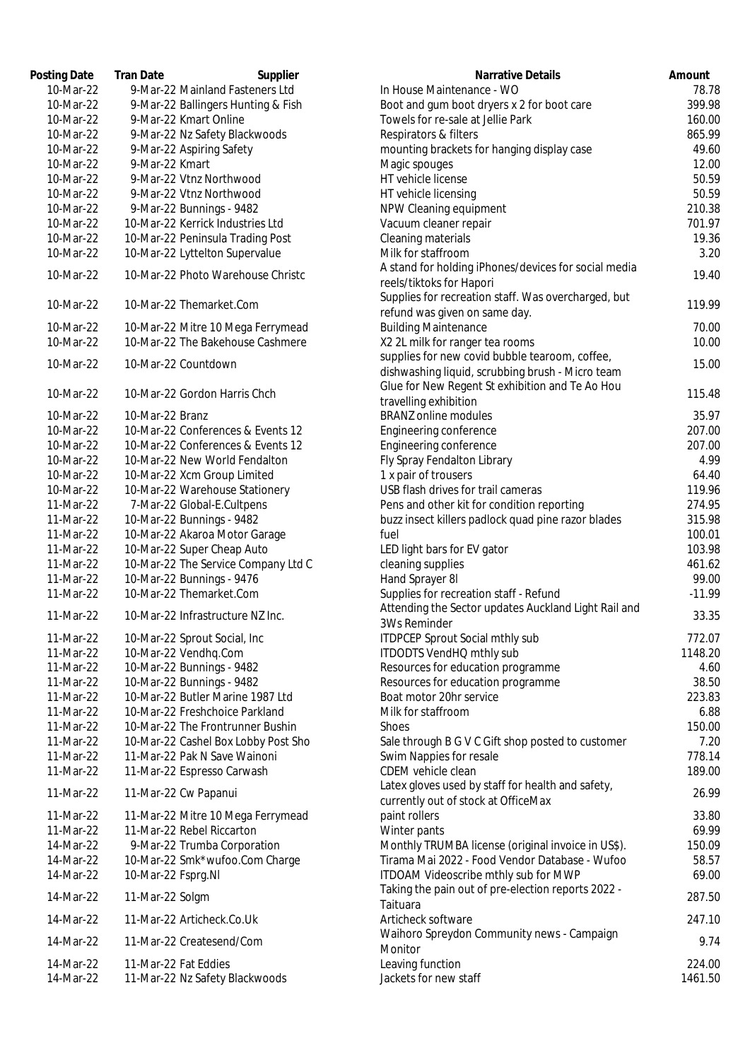| Posting Date | <b>Tran Date</b><br>Supplier        | Narrative Details                                                                          | Amount   |
|--------------|-------------------------------------|--------------------------------------------------------------------------------------------|----------|
| 10-Mar-22    | 9-Mar-22 Mainland Fasteners Ltd     | In House Maintenance - WO                                                                  | 78.78    |
| 10-Mar-22    | 9-Mar-22 Ballingers Hunting & Fish  | Boot and gum boot dryers x 2 for boot care                                                 | 399.98   |
| 10-Mar-22    | 9-Mar-22 Kmart Online               | Towels for re-sale at Jellie Park                                                          | 160.00   |
| 10-Mar-22    | 9-Mar-22 Nz Safety Blackwoods       | Respirators & filters                                                                      | 865.99   |
| 10-Mar-22    | 9-Mar-22 Aspiring Safety            | mounting brackets for hanging display case                                                 | 49.60    |
| 10-Mar-22    | 9-Mar-22 Kmart                      | Magic spouges                                                                              | 12.00    |
| 10-Mar-22    | 9-Mar-22 Vtnz Northwood             | HT vehicle license                                                                         | 50.59    |
| 10-Mar-22    | 9-Mar-22 Vtnz Northwood             | HT vehicle licensing                                                                       | 50.59    |
| 10-Mar-22    | 9-Mar-22 Bunnings - 9482            | NPW Cleaning equipment                                                                     | 210.38   |
| 10-Mar-22    | 10-Mar-22 Kerrick Industries Ltd    | Vacuum cleaner repair                                                                      | 701.97   |
| 10-Mar-22    | 10-Mar-22 Peninsula Trading Post    | Cleaning materials                                                                         | 19.36    |
| 10-Mar-22    | 10-Mar-22 Lyttelton Supervalue      | Milk for staffroom                                                                         | 3.20     |
|              |                                     | A stand for holding iPhones/devices for social media                                       |          |
| 10-Mar-22    | 10-Mar-22 Photo Warehouse Christc   | reels/tiktoks for Hapori                                                                   | 19.40    |
| 10-Mar-22    | 10-Mar-22 Themarket.Com             | Supplies for recreation staff. Was overcharged, but                                        | 119.99   |
|              |                                     | refund was given on same day.                                                              |          |
| 10-Mar-22    | 10-Mar-22 Mitre 10 Mega Ferrymead   | <b>Building Maintenance</b>                                                                | 70.00    |
| 10-Mar-22    | 10-Mar-22 The Bakehouse Cashmere    | X2 2L milk for ranger tea rooms                                                            | 10.00    |
| 10-Mar-22    | 10-Mar-22 Countdown                 | supplies for new covid bubble tearoom, coffee,                                             | 15.00    |
|              |                                     | dishwashing liquid, scrubbing brush - Micro team                                           |          |
| 10-Mar-22    | 10-Mar-22 Gordon Harris Chch        | Glue for New Regent St exhibition and Te Ao Hou                                            | 115.48   |
|              |                                     | travelling exhibition                                                                      |          |
| 10-Mar-22    | 10-Mar-22 Branz                     | <b>BRANZ</b> online modules                                                                | 35.97    |
| 10-Mar-22    | 10-Mar-22 Conferences & Events 12   | Engineering conference                                                                     | 207.00   |
| 10-Mar-22    | 10-Mar-22 Conferences & Events 12   | Engineering conference                                                                     | 207.00   |
| 10-Mar-22    | 10-Mar-22 New World Fendalton       | Fly Spray Fendalton Library                                                                | 4.99     |
| 10-Mar-22    | 10-Mar-22 Xcm Group Limited         | 1 x pair of trousers                                                                       | 64.40    |
| 10-Mar-22    | 10-Mar-22 Warehouse Stationery      | USB flash drives for trail cameras                                                         | 119.96   |
| 11-Mar-22    | 7-Mar-22 Global-E.Cultpens          | Pens and other kit for condition reporting                                                 | 274.95   |
| 11-Mar-22    | 10-Mar-22 Bunnings - 9482           | buzz insect killers padlock quad pine razor blades                                         | 315.98   |
| 11-Mar-22    | 10-Mar-22 Akaroa Motor Garage       | fuel                                                                                       | 100.01   |
| 11-Mar-22    | 10-Mar-22 Super Cheap Auto          | LED light bars for EV gator                                                                | 103.98   |
| 11-Mar-22    | 10-Mar-22 The Service Company Ltd C | cleaning supplies                                                                          | 461.62   |
| 11-Mar-22    | 10-Mar-22 Bunnings - 9476           | Hand Sprayer 8I                                                                            | 99.00    |
| 11-Mar-22    | 10-Mar-22 Themarket.Com             | Supplies for recreation staff - Refund                                                     | $-11.99$ |
|              |                                     | Attending the Sector updates Auckland Light Rail and                                       |          |
| 11-Mar-22    | 10-Mar-22 Infrastructure NZ Inc.    | <b>3Ws Reminder</b>                                                                        | 33.35    |
| 11-Mar-22    | 10-Mar-22 Sprout Social, Inc        | <b>ITDPCEP Sprout Social mthly sub</b>                                                     | 772.07   |
| 11-Mar-22    | 10-Mar-22 Vendhq.Com                | ITDODTS VendHQ mthly sub                                                                   | 1148.20  |
| 11-Mar-22    | 10-Mar-22 Bunnings - 9482           | Resources for education programme                                                          | 4.60     |
| 11-Mar-22    | 10-Mar-22 Bunnings - 9482           | Resources for education programme                                                          | 38.50    |
| 11-Mar-22    | 10-Mar-22 Butler Marine 1987 Ltd    | Boat motor 20hr service                                                                    | 223.83   |
| 11-Mar-22    | 10-Mar-22 Freshchoice Parkland      | Milk for staffroom                                                                         | 6.88     |
| 11-Mar-22    | 10-Mar-22 The Frontrunner Bushin    | <b>Shoes</b>                                                                               | 150.00   |
|              |                                     | Sale through B G V C Gift shop posted to customer                                          | 7.20     |
| 11-Mar-22    | 10-Mar-22 Cashel Box Lobby Post Sho |                                                                                            |          |
| 11-Mar-22    | 11-Mar-22 Pak N Save Wainoni        | Swim Nappies for resale                                                                    | 778.14   |
| 11-Mar-22    | 11-Mar-22 Espresso Carwash          | CDEM vehicle clean                                                                         | 189.00   |
| 11-Mar-22    | 11-Mar-22 Cw Papanui                | Latex gloves used by staff for health and safety,<br>currently out of stock at OfficeMax   | 26.99    |
| 11-Mar-22    | 11-Mar-22 Mitre 10 Mega Ferrymead   | paint rollers                                                                              | 33.80    |
| 11-Mar-22    | 11-Mar-22 Rebel Riccarton           | Winter pants                                                                               | 69.99    |
| 14-Mar-22    | 9-Mar-22 Trumba Corporation         | Monthly TRUMBA license (original invoice in US\$).                                         | 150.09   |
| 14-Mar-22    | 10-Mar-22 Smk*wufoo.Com Charge      | Tirama Mai 2022 - Food Vendor Database - Wufoo                                             | 58.57    |
| 14-Mar-22    | 10-Mar-22 Fsprg.NI                  | ITDOAM Videoscribe mthly sub for MWP<br>Taking the pain out of pre-election reports 2022 - | 69.00    |
| 14-Mar-22    | 11-Mar-22 Solgm                     | Taituara                                                                                   | 287.50   |
| 14-Mar-22    | 11-Mar-22 Articheck.Co.Uk           | Articheck software<br>Waihoro Spreydon Community news - Campaign                           | 247.10   |
| 14-Mar-22    | 11-Mar-22 Createsend/Com            | Monitor                                                                                    | 9.74     |
| 14-Mar-22    | 11-Mar-22 Fat Eddies                | Leaving function                                                                           | 224.00   |
| 14-Mar-22    | 11-Mar-22 Nz Safety Blackwoods      | Jackets for new staff                                                                      | 1461.50  |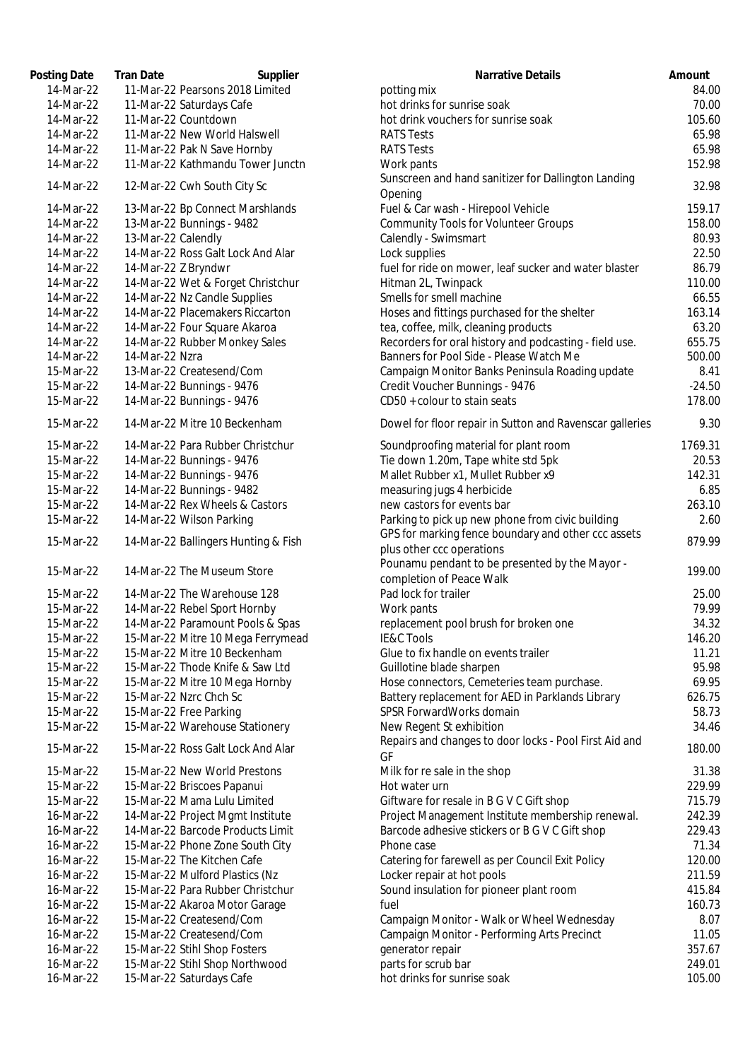| Posting Date | <b>Tran Date</b><br>Supplier        | <b>Narrative Details</b>                                       | Amount   |
|--------------|-------------------------------------|----------------------------------------------------------------|----------|
| 14-Mar-22    | 11-Mar-22 Pearsons 2018 Limited     | potting mix                                                    | 84.00    |
| 14-Mar-22    | 11-Mar-22 Saturdays Cafe            | hot drinks for sunrise soak                                    | 70.00    |
| 14-Mar-22    | 11-Mar-22 Countdown                 | hot drink vouchers for sunrise soak                            | 105.60   |
| 14-Mar-22    | 11-Mar-22 New World Halswell        | <b>RATS Tests</b>                                              | 65.98    |
| 14-Mar-22    | 11-Mar-22 Pak N Save Hornby         | <b>RATS Tests</b>                                              | 65.98    |
| 14-Mar-22    | 11-Mar-22 Kathmandu Tower Junctn    | Work pants                                                     | 152.98   |
| 14-Mar-22    | 12-Mar-22 Cwh South City Sc         | Sunscreen and hand sanitizer for Dallington Landing<br>Opening | 32.98    |
| 14-Mar-22    | 13-Mar-22 Bp Connect Marshlands     | Fuel & Car wash - Hirepool Vehicle                             | 159.17   |
| 14-Mar-22    | 13-Mar-22 Bunnings - 9482           | <b>Community Tools for Volunteer Groups</b>                    | 158.00   |
| 14-Mar-22    | 13-Mar-22 Calendly                  | Calendly - Swimsmart                                           | 80.93    |
| 14-Mar-22    | 14-Mar-22 Ross Galt Lock And Alar   | Lock supplies                                                  | 22.50    |
| 14-Mar-22    | 14-Mar-22 Z Bryndwr                 | fuel for ride on mower, leaf sucker and water blaster          | 86.79    |
| 14-Mar-22    | 14-Mar-22 Wet & Forget Christchur   | Hitman 2L, Twinpack                                            | 110.00   |
| 14-Mar-22    | 14-Mar-22 Nz Candle Supplies        | Smells for smell machine                                       | 66.55    |
| 14-Mar-22    | 14-Mar-22 Placemakers Riccarton     | Hoses and fittings purchased for the shelter                   | 163.14   |
| 14-Mar-22    | 14-Mar-22 Four Square Akaroa        | tea, coffee, milk, cleaning products                           | 63.20    |
| 14-Mar-22    | 14-Mar-22 Rubber Monkey Sales       | Recorders for oral history and podcasting - field use.         | 655.75   |
| 14-Mar-22    | 14-Mar-22 Nzra                      | Banners for Pool Side - Please Watch Me                        | 500.00   |
| 15-Mar-22    | 13-Mar-22 Createsend/Com            | Campaign Monitor Banks Peninsula Roading update                | 8.41     |
| 15-Mar-22    | 14-Mar-22 Bunnings - 9476           | Credit Voucher Bunnings - 9476                                 | $-24.50$ |
| 15-Mar-22    | 14-Mar-22 Bunnings - 9476           | CD50 + colour to stain seats                                   | 178.00   |
| 15-Mar-22    | 14-Mar-22 Mitre 10 Beckenham        | Dowel for floor repair in Sutton and Ravenscar galleries       | 9.30     |
| 15-Mar-22    | 14-Mar-22 Para Rubber Christchur    | Soundproofing material for plant room                          | 1769.31  |
| 15-Mar-22    | 14-Mar-22 Bunnings - 9476           | Tie down 1.20m, Tape white std 5pk                             | 20.53    |
| 15-Mar-22    | 14-Mar-22 Bunnings - 9476           | Mallet Rubber x1, Mullet Rubber x9                             | 142.31   |
| 15-Mar-22    | 14-Mar-22 Bunnings - 9482           | measuring jugs 4 herbicide                                     | 6.85     |
| 15-Mar-22    | 14-Mar-22 Rex Wheels & Castors      | new castors for events bar                                     | 263.10   |
| 15-Mar-22    | 14-Mar-22 Wilson Parking            | Parking to pick up new phone from civic building               | 2.60     |
| 15-Mar-22    | 14-Mar-22 Ballingers Hunting & Fish | GPS for marking fence boundary and other ccc assets            | 879.99   |
|              |                                     | plus other ccc operations                                      |          |
| 15-Mar-22    | 14-Mar-22 The Museum Store          | Pounamu pendant to be presented by the Mayor -                 | 199.00   |
|              |                                     | completion of Peace Walk                                       |          |
| 15-Mar-22    | 14-Mar-22 The Warehouse 128         | Pad lock for trailer                                           | 25.00    |
| 15-Mar-22    | 14-Mar-22 Rebel Sport Hornby        | Work pants                                                     | 79.99    |
| 15-Mar-22    | 14-Mar-22 Paramount Pools & Spas    | replacement pool brush for broken one                          | 34.32    |
| 15-Mar-22    | 15-Mar-22 Mitre 10 Mega Ferrymead   | <b>IE&amp;C Tools</b>                                          | 146.20   |
| 15-Mar-22    | 15-Mar-22 Mitre 10 Beckenham        | Glue to fix handle on events trailer                           | 11.21    |
| 15-Mar-22    | 15-Mar-22 Thode Knife & Saw Ltd     | Guillotine blade sharpen                                       | 95.98    |
| 15-Mar-22    | 15-Mar-22 Mitre 10 Mega Hornby      | Hose connectors, Cemeteries team purchase.                     | 69.95    |
| 15-Mar-22    | 15-Mar-22 Nzrc Chch Sc              | Battery replacement for AED in Parklands Library               | 626.75   |
| 15-Mar-22    | 15-Mar-22 Free Parking              | SPSR ForwardWorks domain                                       | 58.73    |
| 15-Mar-22    | 15-Mar-22 Warehouse Stationery      | New Regent St exhibition                                       | 34.46    |
| 15-Mar-22    | 15-Mar-22 Ross Galt Lock And Alar   | Repairs and changes to door locks - Pool First Aid and<br>GF   | 180.00   |
| 15-Mar-22    | 15-Mar-22 New World Prestons        | Milk for re sale in the shop                                   | 31.38    |
| 15-Mar-22    | 15-Mar-22 Briscoes Papanui          | Hot water urn                                                  | 229.99   |
| 15-Mar-22    | 15-Mar-22 Mama Lulu Limited         | Giftware for resale in B G V C Gift shop                       | 715.79   |
| 16-Mar-22    | 14-Mar-22 Project Mgmt Institute    | Project Management Institute membership renewal.               | 242.39   |
| 16-Mar-22    | 14-Mar-22 Barcode Products Limit    | Barcode adhesive stickers or B G V C Gift shop                 | 229.43   |
| 16-Mar-22    | 15-Mar-22 Phone Zone South City     | Phone case                                                     | 71.34    |
| 16-Mar-22    | 15-Mar-22 The Kitchen Cafe          | Catering for farewell as per Council Exit Policy               | 120.00   |
| 16-Mar-22    | 15-Mar-22 Mulford Plastics (Nz      | Locker repair at hot pools                                     | 211.59   |
| 16-Mar-22    | 15-Mar-22 Para Rubber Christchur    | Sound insulation for pioneer plant room                        | 415.84   |
| 16-Mar-22    | 15-Mar-22 Akaroa Motor Garage       | fuel                                                           | 160.73   |
| 16-Mar-22    | 15-Mar-22 Createsend/Com            | Campaign Monitor - Walk or Wheel Wednesday                     | 8.07     |
| 16-Mar-22    | 15-Mar-22 Createsend/Com            | Campaign Monitor - Performing Arts Precinct                    | 11.05    |
| 16-Mar-22    | 15-Mar-22 Stihl Shop Fosters        | generator repair                                               | 357.67   |
| 16-Mar-22    | 15-Mar-22 Stihl Shop Northwood      | parts for scrub bar                                            | 249.01   |
| 16-Mar-22    | 15-Mar-22 Saturdays Cafe            | hot drinks for sunrise soak                                    | 105.00   |
|              |                                     |                                                                |          |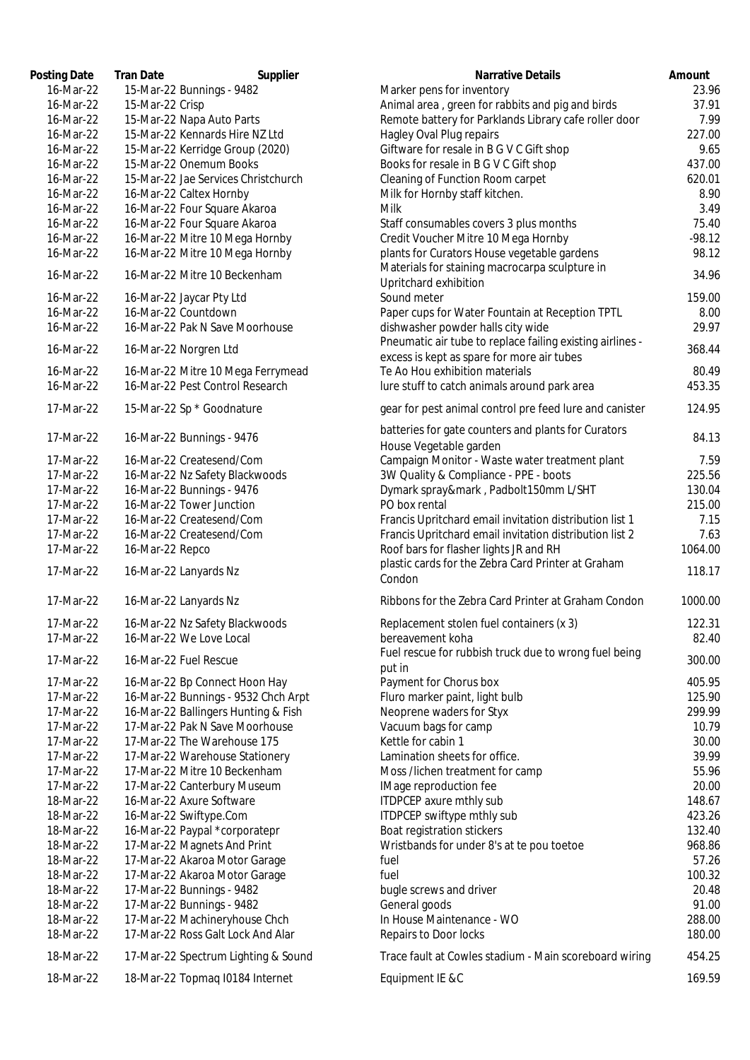| Posting Date           | Tran Date<br>Supplier                                                    | Narrative Details                                                                                      |
|------------------------|--------------------------------------------------------------------------|--------------------------------------------------------------------------------------------------------|
| 16-Mar-22              | 15-Mar-22 Bunnings - 9482                                                | Marker pens for inventory                                                                              |
| 16-Mar-22              | 15-Mar-22 Crisp                                                          | Animal area, green for rabbits and pig and birds                                                       |
| 16-Mar-22              | 15-Mar-22 Napa Auto Parts                                                | Remote battery for Parklands Library cafe roller door                                                  |
| 16-Mar-22              | 15-Mar-22 Kennards Hire NZ Ltd                                           | Hagley Oval Plug repairs                                                                               |
| 16-Mar-22              | 15-Mar-22 Kerridge Group (2020)                                          | Giftware for resale in B G V C Gift shop                                                               |
| 16-Mar-22              | 15-Mar-22 Onemum Books                                                   | Books for resale in B G V C Gift shop                                                                  |
| 16-Mar-22              | 15-Mar-22 Jae Services Christchurch                                      | Cleaning of Function Room carpet                                                                       |
| 16-Mar-22              | 16-Mar-22 Caltex Hornby                                                  | Milk for Hornby staff kitchen.                                                                         |
| 16-Mar-22              | 16-Mar-22 Four Square Akaroa                                             | Milk                                                                                                   |
| 16-Mar-22              | 16-Mar-22 Four Square Akaroa                                             | Staff consumables covers 3 plus months                                                                 |
| 16-Mar-22              | 16-Mar-22 Mitre 10 Mega Hornby                                           | Credit Voucher Mitre 10 Mega Hornby                                                                    |
| 16-Mar-22              | 16-Mar-22 Mitre 10 Mega Hornby                                           | plants for Curators House vegetable gardens                                                            |
| 16-Mar-22              | 16-Mar-22 Mitre 10 Beckenham                                             | Materials for staining macrocarpa sculpture in<br>Upritchard exhibition                                |
| 16-Mar-22              | 16-Mar-22 Jaycar Pty Ltd                                                 | Sound meter                                                                                            |
| 16-Mar-22              | 16-Mar-22 Countdown                                                      | Paper cups for Water Fountain at Reception TPTL                                                        |
| 16-Mar-22              | 16-Mar-22 Pak N Save Moorhouse                                           | dishwasher powder halls city wide<br>Pneumatic air tube to replace failing existing airlines -         |
| 16-Mar-22              | 16-Mar-22 Norgren Ltd                                                    | excess is kept as spare for more air tubes                                                             |
| 16-Mar-22              | 16-Mar-22 Mitre 10 Mega Ferrymead                                        | Te Ao Hou exhibition materials                                                                         |
| 16-Mar-22<br>17-Mar-22 | 16-Mar-22 Pest Control Research<br>15-Mar-22 Sp * Goodnature             | lure stuff to catch animals around park area<br>gear for pest animal control pre feed lure and caniste |
|                        |                                                                          |                                                                                                        |
| 17-Mar-22              | 16-Mar-22 Bunnings - 9476                                                | batteries for gate counters and plants for Curators<br>House Vegetable garden                          |
| 17-Mar-22              | 16-Mar-22 Createsend/Com                                                 | Campaign Monitor - Waste water treatment plant                                                         |
| 17-Mar-22              | 16-Mar-22 Nz Safety Blackwoods                                           | 3W Quality & Compliance - PPE - boots                                                                  |
| 17-Mar-22              | 16-Mar-22 Bunnings - 9476                                                | Dymark spray&mark, Padbolt150mm L/SHT                                                                  |
| 17-Mar-22              | 16-Mar-22 Tower Junction                                                 | PO box rental                                                                                          |
| 17-Mar-22              | 16-Mar-22 Createsend/Com                                                 | Francis Upritchard email invitation distribution list 1                                                |
| 17-Mar-22              | 16-Mar-22 Createsend/Com                                                 | Francis Upritchard email invitation distribution list 2                                                |
| 17-Mar-22              | 16-Mar-22 Repco                                                          | Roof bars for flasher lights JR and RH<br>plastic cards for the Zebra Card Printer at Graham           |
| 17-Mar-22              | 16-Mar-22 Lanyards Nz                                                    | Condon                                                                                                 |
| 17-Mar-22              | 16-Mar-22 Lanyards Nz                                                    | Ribbons for the Zebra Card Printer at Graham Condor                                                    |
| 17-Mar-22              | 16-Mar-22 Nz Safety Blackwoods                                           | Replacement stolen fuel containers (x 3)                                                               |
| 17-Mar-22              | 16-Mar-22 We Love Local                                                  | bereavement koha                                                                                       |
| 17-Mar-22              | 16-Mar-22 Fuel Rescue                                                    | Fuel rescue for rubbish truck due to wrong fuel being<br>put in                                        |
| 17-Mar-22              | 16-Mar-22 Bp Connect Hoon Hay                                            | Payment for Chorus box                                                                                 |
| 17-Mar-22              | 16-Mar-22 Bunnings - 9532 Chch Arpt                                      | Fluro marker paint, light bulb                                                                         |
| 17-Mar-22              | 16-Mar-22 Ballingers Hunting & Fish                                      | Neoprene waders for Styx                                                                               |
| 17-Mar-22              | 17-Mar-22 Pak N Save Moorhouse                                           | Vacuum bags for camp                                                                                   |
| 17-Mar-22              | 17-Mar-22 The Warehouse 175                                              | Kettle for cabin 1                                                                                     |
| 17-Mar-22              | 17-Mar-22 Warehouse Stationery                                           | Lamination sheets for office.                                                                          |
| 17-Mar-22              | 17-Mar-22 Mitre 10 Beckenham                                             | Moss /lichen treatment for camp                                                                        |
| 17-Mar-22              | 17-Mar-22 Canterbury Museum                                              | IMage reproduction fee                                                                                 |
| 18-Mar-22              | 16-Mar-22 Axure Software                                                 | ITDPCEP axure mthly sub                                                                                |
| 18-Mar-22              | 16-Mar-22 Swiftype.Com                                                   | ITDPCEP swiftype mthly sub                                                                             |
| 18-Mar-22              | 16-Mar-22 Paypal *corporatepr                                            | Boat registration stickers                                                                             |
| 18-Mar-22              | 17-Mar-22 Magnets And Print                                              | Wristbands for under 8's at te pou toetoe                                                              |
| 18-Mar-22              | 17-Mar-22 Akaroa Motor Garage                                            | fuel                                                                                                   |
| 18-Mar-22              | 17-Mar-22 Akaroa Motor Garage                                            | fuel                                                                                                   |
| 18-Mar-22              | 17-Mar-22 Bunnings - 9482                                                | bugle screws and driver                                                                                |
| 18-Mar-22              | 17-Mar-22 Bunnings - 9482                                                | General goods                                                                                          |
|                        |                                                                          | In House Maintenance - WO                                                                              |
| 18-Mar-22              | 17-Mar-22 Machineryhouse Chch                                            |                                                                                                        |
| 18-Mar-22<br>18-Mar-22 | 17-Mar-22 Ross Galt Lock And Alar<br>17-Mar-22 Spectrum Lighting & Sound | Repairs to Door locks<br>Trace fault at Cowles stadium - Main scoreboard wirir                         |
|                        |                                                                          |                                                                                                        |
| 18-Mar-22              | 18-Mar-22 Topmaq I0184 Internet                                          | Equipment IE &C                                                                                        |

| Posting Date | <b>Tran Date</b><br>Supplier        | <b>Narrative Details</b>                                                      | Amount   |
|--------------|-------------------------------------|-------------------------------------------------------------------------------|----------|
| 16-Mar-22    | 15-Mar-22 Bunnings - 9482           | Marker pens for inventory                                                     | 23.96    |
| 16-Mar-22    | 15-Mar-22 Crisp                     | Animal area, green for rabbits and pig and birds                              | 37.91    |
| 16-Mar-22    | 15-Mar-22 Napa Auto Parts           | Remote battery for Parklands Library cafe roller door                         | 7.99     |
| 16-Mar-22    | 15-Mar-22 Kennards Hire NZ Ltd      | Hagley Oval Plug repairs                                                      | 227.00   |
| 16-Mar-22    | 15-Mar-22 Kerridge Group (2020)     | Giftware for resale in B G V C Gift shop                                      | 9.65     |
| 16-Mar-22    | 15-Mar-22 Onemum Books              | Books for resale in B G V C Gift shop                                         | 437.00   |
| 16-Mar-22    | 15-Mar-22 Jae Services Christchurch | Cleaning of Function Room carpet                                              | 620.01   |
| 16-Mar-22    | 16-Mar-22 Caltex Hornby             | Milk for Hornby staff kitchen.                                                | 8.90     |
| 16-Mar-22    | 16-Mar-22 Four Square Akaroa        | <b>Milk</b>                                                                   | 3.49     |
| 16-Mar-22    | 16-Mar-22 Four Square Akaroa        | Staff consumables covers 3 plus months                                        | 75.40    |
| 16-Mar-22    | 16-Mar-22 Mitre 10 Mega Hornby      | Credit Voucher Mitre 10 Mega Hornby                                           | $-98.12$ |
| 16-Mar-22    | 16-Mar-22 Mitre 10 Mega Hornby      | plants for Curators House vegetable gardens                                   | 98.12    |
| 16-Mar-22    | 16-Mar-22 Mitre 10 Beckenham        | Materials for staining macrocarpa sculpture in<br>Upritchard exhibition       | 34.96    |
| 16-Mar-22    | 16-Mar-22 Jaycar Pty Ltd            | Sound meter                                                                   | 159.00   |
| 16-Mar-22    | 16-Mar-22 Countdown                 | Paper cups for Water Fountain at Reception TPTL                               | 8.00     |
| 16-Mar-22    | 16-Mar-22 Pak N Save Moorhouse      | dishwasher powder halls city wide                                             | 29.97    |
| 16-Mar-22    | 16-Mar-22 Norgren Ltd               | Pneumatic air tube to replace failing existing airlines -                     | 368.44   |
| 16-Mar-22    | 16-Mar-22 Mitre 10 Mega Ferrymead   | excess is kept as spare for more air tubes<br>Te Ao Hou exhibition materials  | 80.49    |
| 16-Mar-22    | 16-Mar-22 Pest Control Research     | lure stuff to catch animals around park area                                  | 453.35   |
| 17-Mar-22    | 15-Mar-22 Sp * Goodnature           | gear for pest animal control pre feed lure and canister                       | 124.95   |
| 17-Mar-22    | 16-Mar-22 Bunnings - 9476           | batteries for gate counters and plants for Curators<br>House Vegetable garden | 84.13    |
| 17-Mar-22    | 16-Mar-22 Createsend/Com            | Campaign Monitor - Waste water treatment plant                                | 7.59     |
| 17-Mar-22    | 16-Mar-22 Nz Safety Blackwoods      | 3W Quality & Compliance - PPE - boots                                         | 225.56   |
| 17-Mar-22    | 16-Mar-22 Bunnings - 9476           | Dymark spray&mark, Padbolt150mm L/SHT                                         | 130.04   |
| 17-Mar-22    | 16-Mar-22 Tower Junction            | PO box rental                                                                 | 215.00   |
| 17-Mar-22    | 16-Mar-22 Createsend/Com            | Francis Upritchard email invitation distribution list 1                       | 7.15     |
| 17-Mar-22    | 16-Mar-22 Createsend/Com            | Francis Upritchard email invitation distribution list 2                       | 7.63     |
| 17-Mar-22    |                                     | Roof bars for flasher lights JR and RH                                        | 1064.00  |
|              | 16-Mar-22 Repco                     | plastic cards for the Zebra Card Printer at Graham                            |          |
| 17-Mar-22    | 16-Mar-22 Lanyards Nz               | Condon                                                                        | 118.17   |
| 17-Mar-22    | 16-Mar-22 Lanyards Nz               | Ribbons for the Zebra Card Printer at Graham Condon                           | 1000.00  |
| 17-Mar-22    | 16-Mar-22 Nz Safety Blackwoods      | Replacement stolen fuel containers (x 3)                                      | 122.31   |
| 17-Mar-22    | 16-Mar-22 We Love Local             | bereavement koha                                                              | 82.40    |
| 17-Mar-22    | 16-Mar-22 Fuel Rescue               | Fuel rescue for rubbish truck due to wrong fuel being<br>put in               | 300.00   |
| 17-Mar-22    | 16-Mar-22 Bp Connect Hoon Hay       | Payment for Chorus box                                                        | 405.95   |
| 17-Mar-22    | 16-Mar-22 Bunnings - 9532 Chch Arpt | Fluro marker paint, light bulb                                                | 125.90   |
| 17-Mar-22    | 16-Mar-22 Ballingers Hunting & Fish | Neoprene waders for Styx                                                      | 299.99   |
| 17-Mar-22    | 17-Mar-22 Pak N Save Moorhouse      | Vacuum bags for camp                                                          | 10.79    |
| 17-Mar-22    | 17-Mar-22 The Warehouse 175         | Kettle for cabin 1                                                            | 30.00    |
| 17-Mar-22    | 17-Mar-22 Warehouse Stationery      | Lamination sheets for office.                                                 | 39.99    |
| 17-Mar-22    | 17-Mar-22 Mitre 10 Beckenham        | Moss /lichen treatment for camp                                               | 55.96    |
| 17-Mar-22    | 17-Mar-22 Canterbury Museum         | IMage reproduction fee                                                        | 20.00    |
| 18-Mar-22    | 16-Mar-22 Axure Software            | ITDPCEP axure mthly sub                                                       | 148.67   |
| 18-Mar-22    | 16-Mar-22 Swiftype.Com              | ITDPCEP swiftype mthly sub                                                    | 423.26   |
| 18-Mar-22    | 16-Mar-22 Paypal *corporatepr       | Boat registration stickers                                                    | 132.40   |
| 18-Mar-22    | 17-Mar-22 Magnets And Print         | Wristbands for under 8's at te pou toetoe                                     | 968.86   |
| 18-Mar-22    | 17-Mar-22 Akaroa Motor Garage       | fuel                                                                          | 57.26    |
| 18-Mar-22    | 17-Mar-22 Akaroa Motor Garage       | fuel                                                                          | 100.32   |
| 18-Mar-22    | 17-Mar-22 Bunnings - 9482           | bugle screws and driver                                                       | 20.48    |
| 18-Mar-22    | 17-Mar-22 Bunnings - 9482           | General goods                                                                 | 91.00    |
| 18-Mar-22    | 17-Mar-22 Machineryhouse Chch       | In House Maintenance - WO                                                     | 288.00   |
| 18-Mar-22    | 17-Mar-22 Ross Galt Lock And Alar   | Repairs to Door locks                                                         | 180.00   |
|              |                                     |                                                                               |          |
| 18-Mar-22    | 17-Mar-22 Spectrum Lighting & Sound | Trace fault at Cowles stadium - Main scoreboard wiring                        | 454.25   |
| 18-Mar-22    | 18-Mar-22 Topmaq I0184 Internet     | Equipment IE &C                                                               | 169.59   |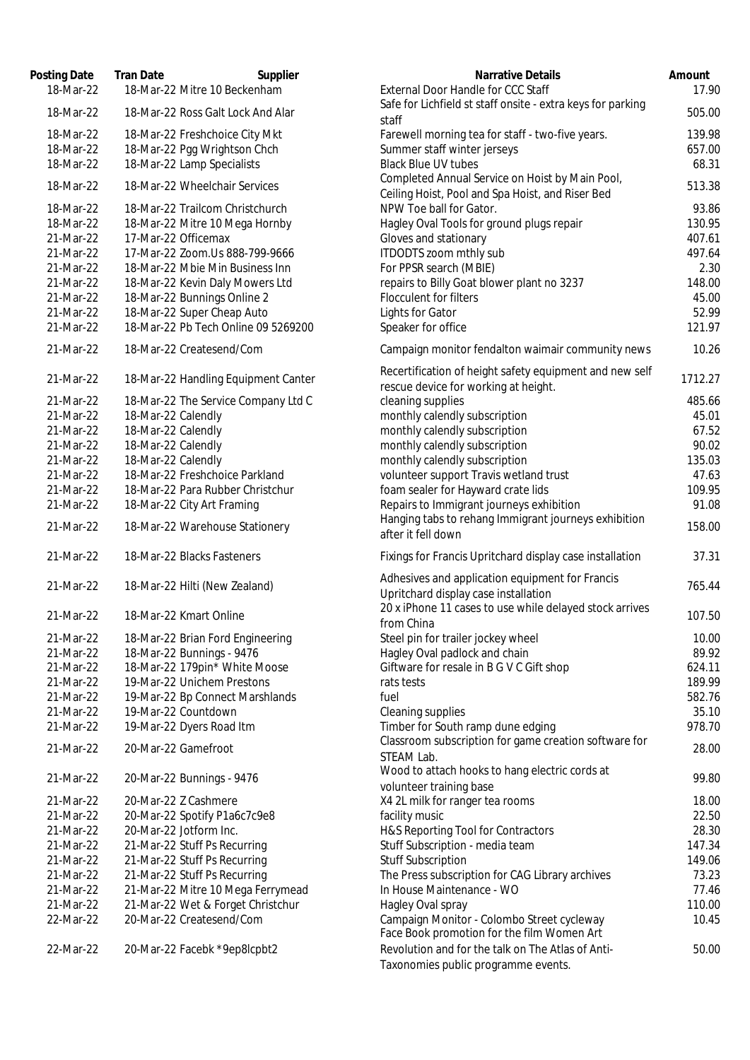| Posting Date<br>18-Mar-22 | <b>Tran Date</b><br>18-Mar-22 Mitre 10 Beckenham | Supplier<br><b>Narrative Details</b><br>External Door Handle for CCC Staff                          | Amount<br>17.90 |
|---------------------------|--------------------------------------------------|-----------------------------------------------------------------------------------------------------|-----------------|
| 18-Mar-22                 | 18-Mar-22 Ross Galt Lock And Alar                | Safe for Lichfield st staff onsite - extra keys for parking                                         | 505.00          |
|                           |                                                  | staff                                                                                               |                 |
| 18-Mar-22                 | 18-Mar-22 Freshchoice City Mkt                   | Farewell morning tea for staff - two-five years.                                                    | 139.98          |
| 18-Mar-22                 | 18-Mar-22 Pgg Wrightson Chch                     | Summer staff winter jerseys                                                                         | 657.00          |
| 18-Mar-22                 | 18-Mar-22 Lamp Specialists                       | <b>Black Blue UV tubes</b>                                                                          | 68.31           |
| 18-Mar-22                 | 18-Mar-22 Wheelchair Services                    | Completed Annual Service on Hoist by Main Pool,<br>Ceiling Hoist, Pool and Spa Hoist, and Riser Bed | 513.38          |
| 18-Mar-22                 | 18-Mar-22 Trailcom Christchurch                  | NPW Toe ball for Gator.                                                                             | 93.86           |
| 18-Mar-22                 | 18-Mar-22 Mitre 10 Mega Hornby                   | Hagley Oval Tools for ground plugs repair                                                           | 130.95          |
| 21-Mar-22                 | 17-Mar-22 Officemax                              | Gloves and stationary                                                                               | 407.61          |
| 21-Mar-22                 | 17-Mar-22 Zoom.Us 888-799-9666                   | ITDODTS zoom mthly sub                                                                              | 497.64          |
| 21-Mar-22                 | 18-Mar-22 Mbie Min Business Inn                  | For PPSR search (MBIE)                                                                              | 2.30            |
| 21-Mar-22                 | 18-Mar-22 Kevin Daly Mowers Ltd                  | repairs to Billy Goat blower plant no 3237                                                          | 148.00          |
| 21-Mar-22                 | 18-Mar-22 Bunnings Online 2                      | Flocculent for filters                                                                              | 45.00           |
| 21-Mar-22                 | 18-Mar-22 Super Cheap Auto                       | Lights for Gator                                                                                    | 52.99           |
| 21-Mar-22                 | 18-Mar-22 Pb Tech Online 09 5269200              | Speaker for office                                                                                  | 121.97          |
| 21-Mar-22                 | 18-Mar-22 Createsend/Com                         | Campaign monitor fendalton waimair community news                                                   | 10.26           |
|                           |                                                  |                                                                                                     |                 |
| 21-Mar-22                 | 18-Mar-22 Handling Equipment Canter              | Recertification of height safety equipment and new self                                             | 1712.27         |
|                           |                                                  | rescue device for working at height.                                                                |                 |
| 21-Mar-22                 | 18-Mar-22 The Service Company Ltd C              | cleaning supplies                                                                                   | 485.66          |
| 21-Mar-22                 | 18-Mar-22 Calendly                               | monthly calendly subscription                                                                       | 45.01           |
| 21-Mar-22<br>21-Mar-22    | 18-Mar-22 Calendly<br>18-Mar-22 Calendly         | monthly calendly subscription<br>monthly calendly subscription                                      | 67.52<br>90.02  |
| 21-Mar-22                 | 18-Mar-22 Calendly                               | monthly calendly subscription                                                                       | 135.03          |
| 21-Mar-22                 | 18-Mar-22 Freshchoice Parkland                   | volunteer support Travis wetland trust                                                              | 47.63           |
| 21-Mar-22                 | 18-Mar-22 Para Rubber Christchur                 | foam sealer for Hayward crate lids                                                                  | 109.95          |
| 21-Mar-22                 | 18-Mar-22 City Art Framing                       | Repairs to Immigrant journeys exhibition                                                            | 91.08           |
|                           |                                                  | Hanging tabs to rehang Immigrant journeys exhibition                                                |                 |
| 21-Mar-22                 | 18-Mar-22 Warehouse Stationery                   | after it fell down                                                                                  | 158.00          |
| 21-Mar-22                 | 18-Mar-22 Blacks Fasteners                       | Fixings for Francis Upritchard display case installation                                            | 37.31           |
| 21-Mar-22                 | 18-Mar-22 Hilti (New Zealand)                    | Adhesives and application equipment for Francis                                                     | 765.44          |
|                           |                                                  | Upritchard display case installation                                                                |                 |
| 21-Mar-22                 | 18-Mar-22 Kmart Online                           | 20 x iPhone 11 cases to use while delayed stock arrives                                             | 107.50          |
|                           |                                                  | from China                                                                                          |                 |
| 21-Mar-22                 | 18-Mar-22 Brian Ford Engineering                 | Steel pin for trailer jockey wheel                                                                  | 10.00           |
| 21-Mar-22                 | 18-Mar-22 Bunnings - 9476                        | Hagley Oval padlock and chain                                                                       | 89.92           |
| 21-Mar-22                 | 18-Mar-22 179pin* White Moose                    | Giftware for resale in B G V C Gift shop                                                            | 624.11          |
| 21-Mar-22                 | 19-Mar-22 Unichem Prestons                       | rats tests                                                                                          | 189.99          |
| 21-Mar-22                 | 19-Mar-22 Bp Connect Marshlands                  | fuel                                                                                                | 582.76          |
| 21-Mar-22<br>21-Mar-22    | 19-Mar-22 Countdown<br>19-Mar-22 Dyers Road Itm  | Cleaning supplies<br>Timber for South ramp dune edging                                              | 35.10<br>978.70 |
|                           |                                                  | Classroom subscription for game creation software for                                               |                 |
| 21-Mar-22                 | 20-Mar-22 Gamefroot                              | STEAM Lab.                                                                                          | 28.00           |
|                           |                                                  | Wood to attach hooks to hang electric cords at                                                      |                 |
| 21-Mar-22                 | 20-Mar-22 Bunnings - 9476                        | volunteer training base                                                                             | 99.80           |
| 21-Mar-22                 | 20-Mar-22 Z Cashmere                             | X4 2L milk for ranger tea rooms                                                                     | 18.00           |
| 21-Mar-22                 | 20-Mar-22 Spotify P1a6c7c9e8                     | facility music                                                                                      | 22.50           |
| 21-Mar-22                 | 20-Mar-22 Jotform Inc.                           | H&S Reporting Tool for Contractors                                                                  | 28.30           |
| 21-Mar-22                 | 21-Mar-22 Stuff Ps Recurring                     | Stuff Subscription - media team                                                                     | 147.34          |
| 21-Mar-22                 | 21-Mar-22 Stuff Ps Recurring                     | <b>Stuff Subscription</b>                                                                           | 149.06          |
| 21-Mar-22                 | 21-Mar-22 Stuff Ps Recurring                     | The Press subscription for CAG Library archives                                                     | 73.23           |
| 21-Mar-22                 | 21-Mar-22 Mitre 10 Mega Ferrymead                | In House Maintenance - WO                                                                           | 77.46           |
| 21-Mar-22                 | 21-Mar-22 Wet & Forget Christchur                | Hagley Oval spray                                                                                   | 110.00          |
| 22-Mar-22                 | 20-Mar-22 Createsend/Com                         | Campaign Monitor - Colombo Street cycleway<br>Face Book promotion for the film Women Art            | 10.45           |
| 22-Mar-22                 | 20-Mar-22 Facebk *9ep8lcpbt2                     | Revolution and for the talk on The Atlas of Anti-                                                   | 50.00           |
|                           |                                                  | Taxonomies public programme events.                                                                 |                 |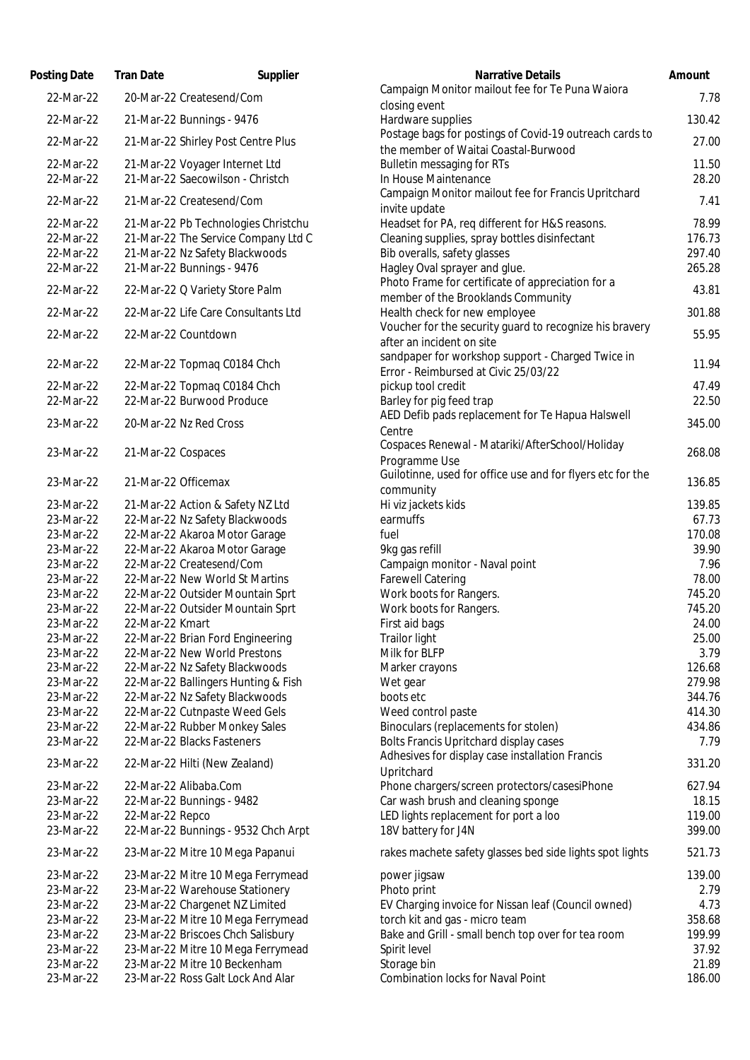| Posting Date           | <b>Tran Date</b>                                                  | Supplier | <b>Narrative Details</b>                                                                        |
|------------------------|-------------------------------------------------------------------|----------|-------------------------------------------------------------------------------------------------|
| 22-Mar-22              | 20-Mar-22 Createsend/Com                                          |          | Campaign Monitor mailout fee for Te Puna Waiora                                                 |
|                        |                                                                   |          | closing event                                                                                   |
| 22-Mar-22              | 21-Mar-22 Bunnings - 9476                                         |          | Hardware supplies                                                                               |
| 22-Mar-22              | 21-Mar-22 Shirley Post Centre Plus                                |          | Postage bags for postings of Covid-19 outreach cards to<br>the member of Waitai Coastal-Burwood |
| 22-Mar-22              | 21-Mar-22 Voyager Internet Ltd                                    |          | <b>Bulletin messaging for RTs</b>                                                               |
| 22-Mar-22              | 21-Mar-22 Saecowilson - Christch                                  |          | In House Maintenance                                                                            |
|                        |                                                                   |          | Campaign Monitor mailout fee for Francis Upritchard                                             |
| 22-Mar-22              | 21-Mar-22 Createsend/Com                                          |          | invite update                                                                                   |
| 22-Mar-22              | 21-Mar-22 Pb Technologies Christchu                               |          | Headset for PA, req different for H&S reasons.                                                  |
| 22-Mar-22              | 21-Mar-22 The Service Company Ltd C                               |          | Cleaning supplies, spray bottles disinfectant                                                   |
| 22-Mar-22              | 21-Mar-22 Nz Safety Blackwoods                                    |          | Bib overalls, safety glasses                                                                    |
| 22-Mar-22              | 21-Mar-22 Bunnings - 9476                                         |          | Hagley Oval sprayer and glue.                                                                   |
| 22-Mar-22              | 22-Mar-22 Q Variety Store Palm                                    |          | Photo Frame for certificate of appreciation for a                                               |
|                        |                                                                   |          | member of the Brooklands Community                                                              |
| 22-Mar-22              | 22-Mar-22 Life Care Consultants Ltd                               |          | Health check for new employee<br>Voucher for the security guard to recognize his bravery        |
| 22-Mar-22              | 22-Mar-22 Countdown                                               |          | after an incident on site                                                                       |
|                        |                                                                   |          | sandpaper for workshop support - Charged Twice in                                               |
| 22-Mar-22              | 22-Mar-22 Topmaq C0184 Chch                                       |          | Error - Reimbursed at Civic 25/03/22                                                            |
| 22-Mar-22              | 22-Mar-22 Topmaq C0184 Chch                                       |          | pickup tool credit                                                                              |
| 22-Mar-22              | 22-Mar-22 Burwood Produce                                         |          | Barley for pig feed trap                                                                        |
|                        |                                                                   |          | AED Defib pads replacement for Te Hapua Halswell                                                |
| 23-Mar-22              | 20-Mar-22 Nz Red Cross                                            |          | Centre                                                                                          |
| 23-Mar-22              | 21-Mar-22 Cospaces                                                |          | Cospaces Renewal - Matariki/AfterSchool/Holiday                                                 |
|                        |                                                                   |          | Programme Use                                                                                   |
| 23-Mar-22              | 21-Mar-22 Officemax                                               |          | Guilotinne, used for office use and for flyers etc for the                                      |
|                        |                                                                   |          | community                                                                                       |
| 23-Mar-22              | 21-Mar-22 Action & Safety NZ Ltd                                  |          | Hi viz jackets kids                                                                             |
| 23-Mar-22              | 22-Mar-22 Nz Safety Blackwoods                                    |          | earmuffs                                                                                        |
| 23-Mar-22              | 22-Mar-22 Akaroa Motor Garage                                     |          | fuel                                                                                            |
| 23-Mar-22<br>23-Mar-22 | 22-Mar-22 Akaroa Motor Garage<br>22-Mar-22 Createsend/Com         |          | 9kg gas refill                                                                                  |
| 23-Mar-22              | 22-Mar-22 New World St Martins                                    |          | Campaign monitor - Naval point<br><b>Farewell Catering</b>                                      |
| 23-Mar-22              | 22-Mar-22 Outsider Mountain Sprt                                  |          | Work boots for Rangers.                                                                         |
| 23-Mar-22              | 22-Mar-22 Outsider Mountain Sprt                                  |          | Work boots for Rangers.                                                                         |
| 23-Mar-22              | 22-Mar-22 Kmart                                                   |          | First aid bags                                                                                  |
| 23-Mar-22              | 22-Mar-22 Brian Ford Engineering                                  |          | Trailor light                                                                                   |
| 23-Mar-22              | 22-Mar-22 New World Prestons                                      |          | Milk for BLFP                                                                                   |
| 23-Mar-22              | 22-Mar-22 Nz Safety Blackwoods                                    |          | Marker crayons                                                                                  |
| 23-Mar-22              | 22-Mar-22 Ballingers Hunting & Fish                               |          | Wet gear                                                                                        |
| 23-Mar-22              | 22-Mar-22 Nz Safety Blackwoods                                    |          | boots etc                                                                                       |
| 23-Mar-22              | 22-Mar-22 Cutnpaste Weed Gels                                     |          | Weed control paste                                                                              |
| 23-Mar-22              | 22-Mar-22 Rubber Monkey Sales                                     |          | Binoculars (replacements for stolen)                                                            |
| 23-Mar-22              | 22-Mar-22 Blacks Fasteners                                        |          | Bolts Francis Upritchard display cases                                                          |
| 23-Mar-22              | 22-Mar-22 Hilti (New Zealand)                                     |          | Adhesives for display case installation Francis                                                 |
|                        |                                                                   |          | Upritchard                                                                                      |
| 23-Mar-22<br>23-Mar-22 | 22-Mar-22 Alibaba.Com                                             |          | Phone chargers/screen protectors/casesiPhone<br>Car wash brush and cleaning sponge              |
| 23-Mar-22              | 22-Mar-22 Bunnings - 9482<br>22-Mar-22 Repco                      |          | LED lights replacement for port a loo                                                           |
| 23-Mar-22              | 22-Mar-22 Bunnings - 9532 Chch Arpt                               |          | 18V battery for J4N                                                                             |
|                        |                                                                   |          |                                                                                                 |
| 23-Mar-22              | 23-Mar-22 Mitre 10 Mega Papanui                                   |          | rakes machete safety glasses bed side lights spot lights                                        |
| 23-Mar-22              | 23-Mar-22 Mitre 10 Mega Ferrymead                                 |          | power jigsaw                                                                                    |
| 23-Mar-22              | 23-Mar-22 Warehouse Stationery                                    |          | Photo print                                                                                     |
| 23-Mar-22              | 23-Mar-22 Chargenet NZ Limited                                    |          | EV Charging invoice for Nissan leaf (Council owned)                                             |
| 23-Mar-22              | 23-Mar-22 Mitre 10 Mega Ferrymead                                 |          | torch kit and gas - micro team                                                                  |
| 23-Mar-22              | 23-Mar-22 Briscoes Chch Salisbury                                 |          | Bake and Grill - small bench top over for tea room                                              |
| 23-Mar-22              | 23-Mar-22 Mitre 10 Mega Ferrymead<br>23-Mar-22 Mitre 10 Beckenham |          | Spirit level                                                                                    |
| 23-Mar-22<br>23-Mar-22 | 23-Mar-22 Ross Galt Lock And Alar                                 |          | Storage bin<br><b>Combination locks for Naval Point</b>                                         |
|                        |                                                                   |          |                                                                                                 |

| Campaign Monitor mailout fee for Te Puna Waiora<br>22-Mar-22<br>20-Mar-22 Createsend/Com<br>closing event                                          | 7.78           |
|----------------------------------------------------------------------------------------------------------------------------------------------------|----------------|
|                                                                                                                                                    |                |
|                                                                                                                                                    |                |
| Hardware supplies<br>22-Mar-22<br>21-Mar-22 Bunnings - 9476                                                                                        | 130.42         |
| Postage bags for postings of Covid-19 outreach cards to<br>22-Mar-22<br>21-Mar-22 Shirley Post Centre Plus<br>the member of Waitai Coastal-Burwood | 27.00          |
| 22-Mar-22<br><b>Bulletin messaging for RTs</b><br>21-Mar-22 Voyager Internet Ltd                                                                   | 11.50          |
| 21-Mar-22 Saecowilson - Christch<br>22-Mar-22<br>In House Maintenance                                                                              | 28.20          |
| Campaign Monitor mailout fee for Francis Upritchard<br>22-Mar-22<br>21-Mar-22 Createsend/Com<br>invite update                                      | 7.41           |
| Headset for PA, req different for H&S reasons.<br>22-Mar-22<br>21-Mar-22 Pb Technologies Christchu                                                 | 78.99          |
| 22-Mar-22<br>21-Mar-22 The Service Company Ltd C<br>Cleaning supplies, spray bottles disinfectant                                                  | 176.73         |
| 22-Mar-22<br>21-Mar-22 Nz Safety Blackwoods<br>Bib overalls, safety glasses                                                                        | 297.40         |
| Hagley Oval sprayer and glue.<br>22-Mar-22<br>21-Mar-22 Bunnings - 9476                                                                            | 265.28         |
| Photo Frame for certificate of appreciation for a<br>22-Mar-22<br>22-Mar-22 Q Variety Store Palm<br>member of the Brooklands Community             | 43.81          |
| Health check for new employee<br>22-Mar-22<br>22-Mar-22 Life Care Consultants Ltd                                                                  | 301.88         |
| Voucher for the security guard to recognize his bravery<br>22-Mar-22<br>22-Mar-22 Countdown<br>after an incident on site                           | 55.95          |
| sandpaper for workshop support - Charged Twice in<br>22-Mar-22<br>22-Mar-22 Topmaq C0184 Chch                                                      | 11.94          |
| Error - Reimbursed at Civic 25/03/22                                                                                                               |                |
| 22-Mar-22<br>22-Mar-22 Topmaq C0184 Chch<br>pickup tool credit<br>22-Mar-22 Burwood Produce                                                        | 47.49<br>22.50 |
| Barley for pig feed trap<br>22-Mar-22<br>AED Defib pads replacement for Te Hapua Halswell                                                          |                |
| 23-Mar-22<br>20-Mar-22 Nz Red Cross<br>Centre                                                                                                      | 345.00         |
| Cospaces Renewal - Matariki/AfterSchool/Holiday<br>23-Mar-22<br>21-Mar-22 Cospaces                                                                 | 268.08         |
| Programme Use<br>Guilotinne, used for office use and for flyers etc for the                                                                        |                |
| 21-Mar-22 Officemax<br>23-Mar-22<br>community                                                                                                      | 136.85         |
| Hi viz jackets kids<br>23-Mar-22<br>21-Mar-22 Action & Safety NZ Ltd                                                                               | 139.85         |
| 23-Mar-22<br>22-Mar-22 Nz Safety Blackwoods<br>earmuffs                                                                                            | 67.73          |
| 22-Mar-22 Akaroa Motor Garage<br>fuel<br>23-Mar-22                                                                                                 | 170.08         |
| 9kg gas refill<br>22-Mar-22 Akaroa Motor Garage<br>23-Mar-22                                                                                       | 39.90          |
| 22-Mar-22 Createsend/Com<br>Campaign monitor - Naval point<br>23-Mar-22                                                                            | 7.96           |
| 23-Mar-22<br>22-Mar-22 New World St Martins<br><b>Farewell Catering</b>                                                                            | 78.00          |
| 23-Mar-22<br>Work boots for Rangers.<br>22-Mar-22 Outsider Mountain Sprt                                                                           | 745.20         |
| 22-Mar-22 Outsider Mountain Sprt<br>23-Mar-22<br>Work boots for Rangers.                                                                           | 745.20         |
| 22-Mar-22 Kmart<br>First aid bags<br>23-Mar-22                                                                                                     | 24.00          |
| 23-Mar-22<br>22-Mar-22 Brian Ford Engineering<br>Trailor light                                                                                     | 25.00          |
| 23-Mar-22<br>22-Mar-22 New World Prestons<br>Milk for BLFP                                                                                         | 3.79           |
| 22-Mar-22 Nz Safety Blackwoods<br>23-Mar-22<br>Marker crayons                                                                                      | 126.68         |
| 22-Mar-22 Ballingers Hunting & Fish<br>23-Mar-22<br>Wet gear                                                                                       | 279.98         |
| 22-Mar-22 Nz Safety Blackwoods<br>boots etc<br>23-Mar-22                                                                                           | 344.76         |
| 22-Mar-22 Cutnpaste Weed Gels<br>23-Mar-22<br>Weed control paste                                                                                   | 414.30         |
| 22-Mar-22 Rubber Monkey Sales<br>Binoculars (replacements for stolen)<br>23-Mar-22                                                                 | 434.86         |
| 22-Mar-22 Blacks Fasteners<br>Bolts Francis Upritchard display cases<br>23-Mar-22<br>Adhesives for display case installation Francis               | 7.79           |
| 23-Mar-22<br>22-Mar-22 Hilti (New Zealand)<br>Upritchard                                                                                           | 331.20         |
| Phone chargers/screen protectors/casesiPhone<br>23-Mar-22<br>22-Mar-22 Alibaba.Com                                                                 | 627.94         |
| Car wash brush and cleaning sponge<br>23-Mar-22<br>22-Mar-22 Bunnings - 9482                                                                       | 18.15          |
| LED lights replacement for port a loo<br>23-Mar-22<br>22-Mar-22 Repco                                                                              | 119.00         |
| 18V battery for J4N<br>23-Mar-22<br>22-Mar-22 Bunnings - 9532 Chch Arpt                                                                            | 399.00         |
| rakes machete safety glasses bed side lights spot lights<br>23-Mar-22<br>23-Mar-22 Mitre 10 Mega Papanui                                           | 521.73         |
| 23-Mar-22<br>23-Mar-22 Mitre 10 Mega Ferrymead<br>power jigsaw                                                                                     | 139.00         |
| 23-Mar-22 Warehouse Stationery<br>Photo print<br>23-Mar-22                                                                                         | 2.79           |
| 23-Mar-22 Chargenet NZ Limited<br>23-Mar-22<br>EV Charging invoice for Nissan leaf (Council owned)                                                 | 4.73           |
| 23-Mar-22 Mitre 10 Mega Ferrymead<br>torch kit and gas - micro team<br>23-Mar-22                                                                   | 358.68         |
| 23-Mar-22 Briscoes Chch Salisbury<br>Bake and Grill - small bench top over for tea room<br>23-Mar-22                                               | 199.99         |
| 23-Mar-22 Mitre 10 Mega Ferrymead<br>23-Mar-22<br>Spirit level                                                                                     | 37.92          |
| 23-Mar-22 Mitre 10 Beckenham<br>Storage bin<br>23-Mar-22                                                                                           | 21.89          |
| <b>Combination locks for Naval Point</b><br>23-Mar-22<br>23-Mar-22 Ross Galt Lock And Alar                                                         | 186.00         |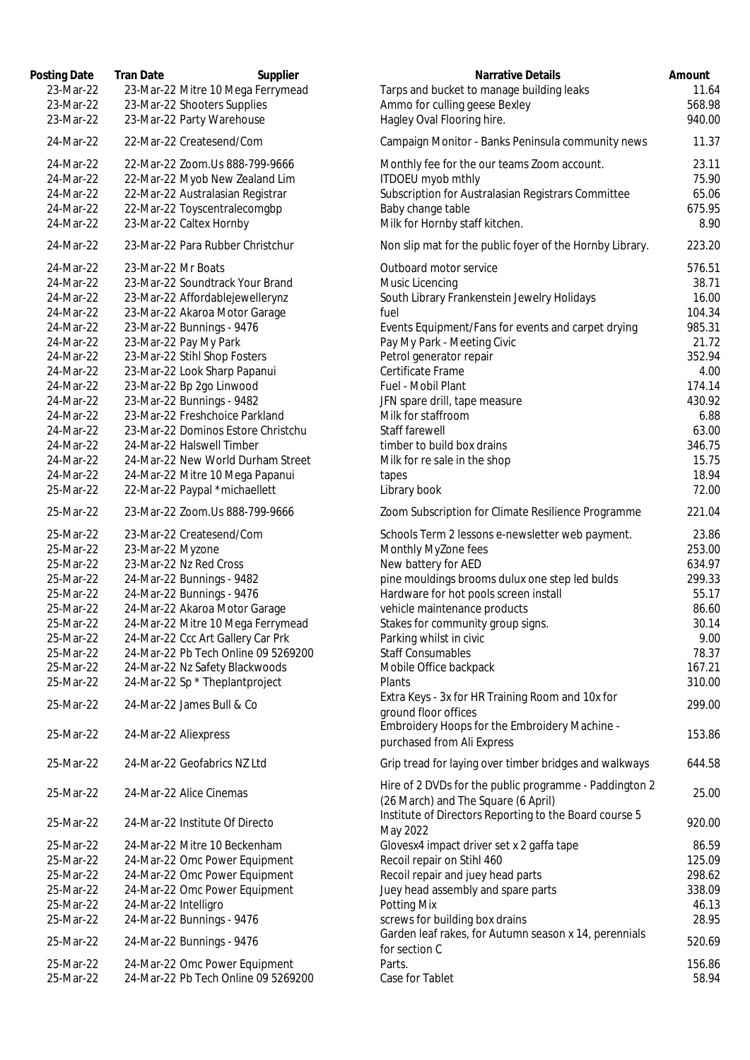| Posting Date | <b>Tran Date</b><br>Supplier        | Narrative Details                                                                             | Amount |
|--------------|-------------------------------------|-----------------------------------------------------------------------------------------------|--------|
| 23-Mar-22    | 23-Mar-22 Mitre 10 Mega Ferrymead   | Tarps and bucket to manage building leaks                                                     | 11.64  |
| 23-Mar-22    | 23-Mar-22 Shooters Supplies         | Ammo for culling geese Bexley                                                                 | 568.98 |
| 23-Mar-22    | 23-Mar-22 Party Warehouse           | Hagley Oval Flooring hire.                                                                    | 940.00 |
| 24-Mar-22    | 22-Mar-22 Createsend/Com            | Campaign Monitor - Banks Peninsula community news                                             | 11.37  |
| 24-Mar-22    | 22-Mar-22 Zoom.Us 888-799-9666      | Monthly fee for the our teams Zoom account.                                                   | 23.11  |
| 24-Mar-22    | 22-Mar-22 Myob New Zealand Lim      | ITDOEU myob mthly                                                                             | 75.90  |
| 24-Mar-22    | 22-Mar-22 Australasian Registrar    | Subscription for Australasian Registrars Committee                                            | 65.06  |
| 24-Mar-22    | 22-Mar-22 Toyscentralecomgbp        | Baby change table                                                                             | 675.95 |
| 24-Mar-22    | 23-Mar-22 Caltex Hornby             | Milk for Hornby staff kitchen.                                                                | 8.90   |
| 24-Mar-22    | 23-Mar-22 Para Rubber Christchur    | Non slip mat for the public foyer of the Hornby Library.                                      | 223.20 |
| 24-Mar-22    | 23-Mar-22 Mr Boats                  | Outboard motor service                                                                        | 576.51 |
| 24-Mar-22    | 23-Mar-22 Soundtrack Your Brand     | Music Licencing                                                                               | 38.71  |
| 24-Mar-22    | 23-Mar-22 Affordablejewellerynz     | South Library Frankenstein Jewelry Holidays                                                   | 16.00  |
| 24-Mar-22    | 23-Mar-22 Akaroa Motor Garage       | fuel                                                                                          | 104.34 |
| 24-Mar-22    | 23-Mar-22 Bunnings - 9476           | Events Equipment/Fans for events and carpet drying                                            | 985.31 |
| 24-Mar-22    | 23-Mar-22 Pay My Park               | Pay My Park - Meeting Civic                                                                   | 21.72  |
| 24-Mar-22    | 23-Mar-22 Stihl Shop Fosters        | Petrol generator repair                                                                       | 352.94 |
| 24-Mar-22    | 23-Mar-22 Look Sharp Papanui        | Certificate Frame                                                                             | 4.00   |
| 24-Mar-22    | 23-Mar-22 Bp 2go Linwood            | Fuel - Mobil Plant                                                                            | 174.14 |
| 24-Mar-22    | 23-Mar-22 Bunnings - 9482           | JFN spare drill, tape measure                                                                 | 430.92 |
| 24-Mar-22    | 23-Mar-22 Freshchoice Parkland      | Milk for staffroom                                                                            | 6.88   |
| 24-Mar-22    | 23-Mar-22 Dominos Estore Christchu  | Staff farewell                                                                                | 63.00  |
| 24-Mar-22    | 24-Mar-22 Halswell Timber           | timber to build box drains                                                                    | 346.75 |
| 24-Mar-22    | 24-Mar-22 New World Durham Street   | Milk for re sale in the shop                                                                  | 15.75  |
| 24-Mar-22    | 24-Mar-22 Mitre 10 Mega Papanui     | tapes                                                                                         | 18.94  |
| 25-Mar-22    | 22-Mar-22 Paypal *michaellett       | Library book                                                                                  | 72.00  |
| 25-Mar-22    | 23-Mar-22 Zoom.Us 888-799-9666      | Zoom Subscription for Climate Resilience Programme                                            | 221.04 |
| 25-Mar-22    | 23-Mar-22 Createsend/Com            | Schools Term 2 lessons e-newsletter web payment.                                              | 23.86  |
| 25-Mar-22    | 23-Mar-22 Myzone                    | Monthly MyZone fees                                                                           | 253.00 |
| 25-Mar-22    | 23-Mar-22 Nz Red Cross              | New battery for AED                                                                           | 634.97 |
| 25-Mar-22    | 24-Mar-22 Bunnings - 9482           | pine mouldings brooms dulux one step led bulds                                                | 299.33 |
| 25-Mar-22    | 24-Mar-22 Bunnings - 9476           | Hardware for hot pools screen install                                                         | 55.17  |
| 25-Mar-22    | 24-Mar-22 Akaroa Motor Garage       | vehicle maintenance products                                                                  | 86.60  |
| 25-Mar-22    | 24-Mar-22 Mitre 10 Mega Ferrymead   | Stakes for community group signs.                                                             | 30.14  |
| 25-Mar-22    | 24-Mar-22 Ccc Art Gallery Car Prk   | Parking whilst in civic                                                                       | 9.00   |
| 25-Mar-22    | 24-Mar-22 Pb Tech Online 09 5269200 | <b>Staff Consumables</b>                                                                      | 78.37  |
| 25-Mar-22    | 24-Mar-22 Nz Safety Blackwoods      | Mobile Office backpack                                                                        | 167.21 |
| 25-Mar-22    | 24-Mar-22 Sp * Theplantproject      | Plants                                                                                        | 310.00 |
| 25-Mar-22    | 24-Mar-22 James Bull & Co           | Extra Keys - 3x for HR Training Room and 10x for<br>ground floor offices                      | 299.00 |
| 25-Mar-22    | 24-Mar-22 Aliexpress                | Embroidery Hoops for the Embroidery Machine -<br>purchased from Ali Express                   | 153.86 |
|              |                                     |                                                                                               |        |
| 25-Mar-22    | 24-Mar-22 Geofabrics NZ Ltd         | Grip tread for laying over timber bridges and walkways                                        | 644.58 |
| 25-Mar-22    | 24-Mar-22 Alice Cinemas             | Hire of 2 DVDs for the public programme - Paddington 2<br>(26 March) and The Square (6 April) | 25.00  |
| 25-Mar-22    | 24-Mar-22 Institute Of Directo      | Institute of Directors Reporting to the Board course 5<br>May 2022                            | 920.00 |
| 25-Mar-22    | 24-Mar-22 Mitre 10 Beckenham        | Glovesx4 impact driver set x 2 gaffa tape                                                     | 86.59  |
| 25-Mar-22    | 24-Mar-22 Omc Power Equipment       | Recoil repair on Stihl 460                                                                    | 125.09 |
| 25-Mar-22    | 24-Mar-22 Omc Power Equipment       | Recoil repair and juey head parts                                                             | 298.62 |
| 25-Mar-22    | 24-Mar-22 Omc Power Equipment       | Juey head assembly and spare parts                                                            | 338.09 |
| 25-Mar-22    | 24-Mar-22 Intelligro                | Potting Mix                                                                                   | 46.13  |
| 25-Mar-22    | 24-Mar-22 Bunnings - 9476           | screws for building box drains                                                                | 28.95  |
| 25-Mar-22    | 24-Mar-22 Bunnings - 9476           | Garden leaf rakes, for Autumn season x 14, perennials                                         | 520.69 |
|              |                                     | for section C                                                                                 |        |
| 25-Mar-22    | 24-Mar-22 Omc Power Equipment       | Parts.                                                                                        | 156.86 |
| 25-Mar-22    | 24-Mar-22 Pb Tech Online 09 5269200 | Case for Tablet                                                                               | 58.94  |